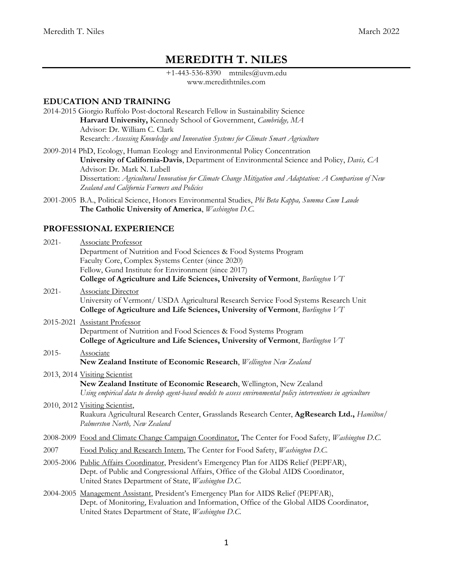# **MEREDITH T. NILES**

+1-443-536-8390 mtniles@uvm.edu www.meredithtniles.com

### **EDUCATION AND TRAINING**

- 2014-2015 Giorgio Ruffolo Post-doctoral Research Fellow in Sustainability Science **Harvard University,** Kennedy School of Government, *Cambridge, MA* Advisor: Dr. William C. Clark Research: *Assessing Knowledge and Innovation Systems for Climate Smart Agriculture*
- 2009-2014 PhD, Ecology, Human Ecology and Environmental Policy Concentration **University of California-Davis**, Department of Environmental Science and Policy, *Davis, CA* Advisor: Dr. Mark N. Lubell Dissertation: *Agricultural Innovation for Climate Change Mitigation and Adaptation: A Comparison of New Zealand and California Farmers and Policies*
- 2001-2005 B.A., Political Science, Honors Environmental Studies, *Phi Beta Kappa, Summa Cum Laude* **The Catholic University of America**, *Washington D.C.*

### **PROFESSIONAL EXPERIENCE**

| $2021 -$ | <b>Associate Professor</b><br>Department of Nutrition and Food Sciences & Food Systems Program<br>Faculty Core, Complex Systems Center (since 2020)<br>Fellow, Gund Institute for Environment (since 2017)<br>College of Agriculture and Life Sciences, University of Vermont, Burlington VT |
|----------|----------------------------------------------------------------------------------------------------------------------------------------------------------------------------------------------------------------------------------------------------------------------------------------------|
| $2021 -$ | <b>Associate Director</b><br>University of Vermont/ USDA Agricultural Research Service Food Systems Research Unit<br>College of Agriculture and Life Sciences, University of Vermont, Burlington VT                                                                                          |
|          | 2015-2021 Assistant Professor<br>Department of Nutrition and Food Sciences & Food Systems Program<br>College of Agriculture and Life Sciences, University of Vermont, Burlington VT                                                                                                          |
| $2015 -$ | Associate<br>New Zealand Institute of Economic Research, Wellington New Zealand                                                                                                                                                                                                              |
|          | 2013, 2014 Visiting Scientist<br>New Zealand Institute of Economic Research, Wellington, New Zealand<br>Using empirical data to develop agent-based models to assess environmental policy interventions in agriculture                                                                       |
|          | 2010, 2012 Visiting Scientist,<br>Ruakura Agricultural Research Center, Grasslands Research Center, AgResearch Ltd., Hamilton/<br>Palmerston North, New Zealand                                                                                                                              |
|          | 2008-2009 Food and Climate Change Campaign Coordinator, The Center for Food Safety, Washington D.C.                                                                                                                                                                                          |
| 2007     | Food Policy and Research Intern, The Center for Food Safety, Washington D.C.                                                                                                                                                                                                                 |
|          | 2005-2006 Public Affairs Coordinator, President's Emergency Plan for AIDS Relief (PEPFAR),<br>Dept. of Public and Congressional Affairs, Office of the Global AIDS Coordinator,<br>United States Department of State, Washington D.C.                                                        |
|          | 2004-2005 Management Assistant, President's Emergency Plan for AIDS Relief (PEPFAR),<br>Dept. of Monitoring, Evaluation and Information, Office of the Global AIDS Coordinator,<br>United States Department of State, Washington D.C.                                                        |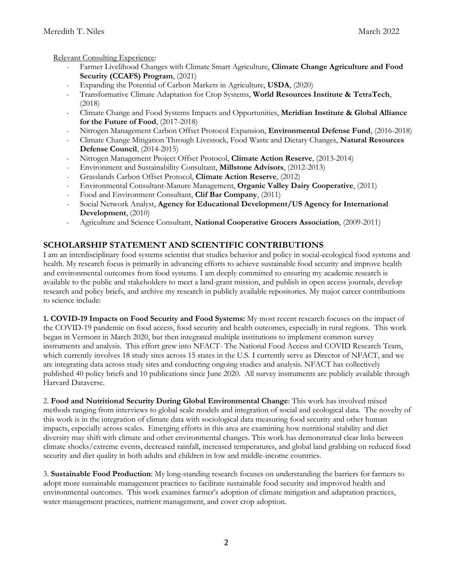Relevant Consulting Experience:

- Farmer Livelihood Changes with Climate Smart Agriculture, **Climate Change Agriculture and Food Security (CCAFS) Program**, (2021)
- Expanding the Potential of Carbon Markets in Agriculture, **USDA**, (2020)
- Transformative Climate Adaptation for Crop Systems, **World Resources Institute & TetraTech**, (2018)
- Climate Change and Food Systems Impacts and Opportunities, **Meridian Institute & Global Alliance for the Future of Food**, (2017-2018)
- Nitrogen Management Carbon Offset Protocol Expansion, **Environmental Defense Fund**, (2016-2018)
- Climate Change Mitigation Through Livestock, Food Waste and Dietary Changes, **Natural Resources Defense Council**, (2014-2015)
- Nitrogen Management Project Offset Protocol, **Climate Action Reserve**, (2013-2014)
- Environment and Sustainability Consultant, **Millstone Advisors**, (2012-2013)
- Grasslands Carbon Offset Protocol, **Climate Action Reserve**, (2012)
- Environmental Consultant-Manure Management, **Organic Valley Dairy Cooperative**, (2011)
- Food and Environment Consultant, **Clif Bar Company**, (2011)
- Social Network Analyst, **Agency for Educational Development/US Agency for International Development**, (2010)
- Agriculture and Science Consultant, **National Cooperative Grocers Association**, (2009-2011)

## **SCHOLARSHIP STATEMENT AND SCIENTIFIC CONTRIBUTIONS**

I am an interdisciplinary food systems scientist that studies behavior and policy in social-ecological food systems and health. My research focus is primarily in advancing efforts to achieve sustainable food security and improve health and environmental outcomes from food systems. I am deeply committed to ensuring my academic research is available to the public and stakeholders to meet a land-grant mission, and publish in open access journals, develop research and policy briefs, and archive my research in publicly available repositories. My major career contributions to science include:

**1. COVID-19 Impacts on Food Security and Food Systems:** My most recent research focuses on the impact of the COVID-19 pandemic on food access, food security and health outcomes, especially in rural regions. This work began in Vermont in March 2020, but then integrated multiple institutions to implement common survey instruments and analysis. This effort grew into NFACT- The National Food Access and COVID Research Team, which currently involves 18 study sites across 15 states in the U.S. I currently serve as Director of NFACT, and we are integrating data across study sites and conducting ongoing studies and analysis. NFACT has collectively published 40 policy briefs and 10 publications since June 2020. All survey instruments are publicly available through Harvard Dataverse.

2. **Food and Nutritional Security During Global Environmental Change**: This work has involved mixed methods ranging from interviews to global scale models and integration of social and ecological data. The novelty of this work is in the integration of climate data with sociological data measuring food security and other human impacts, especially across scales. Emerging efforts in this area are examining how nutritional stability and diet diversity may shift with climate and other environmental changes. This work has demonstrated clear links between climate shocks/extreme events, decreased rainfall, increased temperatures, and global land grabbing on reduced food security and diet quality in both adults and children in low and middle-income countries.

3. **Sustainable Food Production**: My long-standing research focuses on understanding the barriers for farmers to adopt more sustainable management practices to facilitate sustainable food security and improved health and environmental outcomes. This work examines farmer's adoption of climate mitigation and adaptation practices, water management practices, nutrient management, and cover crop adoption.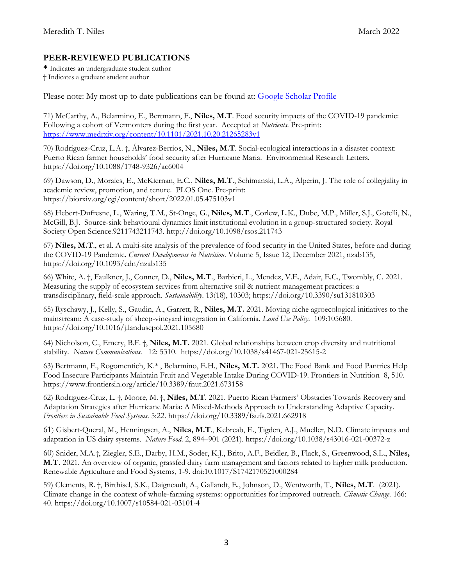## **PEER-REVIEWED PUBLICATIONS**

**\*** Indicates an undergraduate student author † Indicates a graduate student author

Please note: My most up to date publications can be found at: [Google Scholar Profile](https://scholar.google.com/citations?user=MCBQlTgAAAAJ&hl=en)

71) McCarthy, A., Belarmino, E., Bertmann, F., **Niles, M.T**. Food security impacts of the COVID-19 pandemic: Following a cohort of Vermonters during the first year. Accepted at *Nutrients*. Pre-print: <https://www.medrxiv.org/content/10.1101/2021.10.20.21265283v1>

70) Rodríguez-Cruz, L.A. †, Álvarez-Berríos, N., **Niles, M.T**. Social-ecological interactions in a disaster context: Puerto Rican farmer households' food security after Hurricane Maria. Environmental Research Letters. https://doi.org/10.1088/1748-9326/ac6004

69) Dawson, D., Morales, E., McKiernan, E.C., **Niles, M.T**., Schimanski, L.A., Alperin, J. The role of collegiality in academic review, promotion, and tenure. PLOS One. Pre-print: https://biorxiv.org/cgi/content/short/2022.01.05.475103v1

68) Hebert-Dufresne, L., Waring, T.M., St-Onge, G., **Niles, M.T**., Corlew, L.K., Dube, M.P., Miller, S.J., Gotelli, N., McGill, B.J. Source-sink behavioural dynamics limit institutional evolution in a group-structured society. Royal Society Open Science.9211743211743. http://doi.org/10.1098/rsos.211743

67) **Niles, M.T**., et al. A multi-site analysis of the prevalence of food security in the United States, before and during the COVID-19 Pandemic. *Current Developments in Nutrition*. Volume 5, Issue 12, December 2021, nzab135, https://doi.org/10.1093/cdn/nzab135

66) White, A. †, Faulkner, J., Conner, D., **Niles, M.T**., Barbieri, L., Mendez, V.E., Adair, E.C., Twombly, C. 2021. Measuring the supply of ecosystem services from alternative soil & nutrient management practices: a transdisciplinary, field-scale approach. *Sustainability*. 13(18), 10303; https://doi.org/10.3390/su131810303

65) Ryschawy, J., Kelly, S., Gaudin, A., Garrett, R., **Niles, M.T.** 2021. Moving niche agroecological initiatives to the mainstream: A case-study of sheep-vineyard integration in California. *Land Use Policy*. 109:105680. https://doi.org/10.1016/j.landusepol.2021.105680

64) Nicholson, C., Emery, B.F. †, **Niles, M.T.** 2021. Global relationships between crop diversity and nutritional stability. *Nature Communications*. 12: 5310. https://doi.org/10.1038/s41467-021-25615-2

63) Bertmann, F., Rogomentich, K.\* , Belarmino, E.H., **Niles, M.T.** 2021. The Food Bank and Food Pantries Help Food Insecure Participants Maintain Fruit and Vegetable Intake During COVID-19. Frontiers in Nutrition 8, 510. https://www.frontiersin.org/article/10.3389/fnut.2021.673158

62) Rodriguez-Cruz, L. †, Moore, M. †, **Niles, M.T**. 2021. Puerto Rican Farmers' Obstacles Towards Recovery and Adaptation Strategies after Hurricane Maria: A Mixed-Methods Approach to Understanding Adaptive Capacity. *Frontiers in Sustainable Food Systems*. 5:22. https://doi.org/10.3389/fsufs.2021.662918

61) Gisbert-Queral, M., Henningsen, A., **Niles, M.T**., Kebreab, E., Tigden, A.J., Mueller, N.D. Climate impacts and adaptation in US dairy systems. *Nature Food*. 2, 894–901 (2021). https://doi.org/10.1038/s43016-021-00372-z

60) Snider, M.A.†, Ziegler, S.E., Darby, H.M., Soder, K.J., Brito, A.F., Beidler, B., Flack, S., Greenwood, S.L., **Niles, M.T.** 2021. An overview of organic, grassfed dairy farm management and factors related to higher milk production. Renewable Agriculture and Food Systems, 1-9. doi:10.1017/S1742170521000284

59) Clements, R. †, Birthisel, S.K., Daigneault, A., Gallandt, E., Johnson, D., Wentworth, T., **Niles, M.T**. (2021). Climate change in the context of whole-farming systems: opportunities for improved outreach. *Climatic Change*. 166: 40. https://doi.org/10.1007/s10584-021-03101-4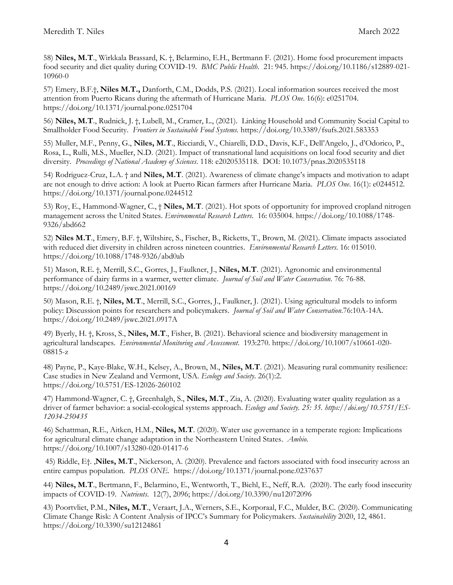58) **Niles, M.T**., Wirkkala Brassard, K. †, Belarmino, E.H., Bertmann F. (2021). Home food procurement impacts food security and diet quality during COVID-19. *BMC Public Health*. 21: 945. https://doi.org/10.1186/s12889-021- 10960-0

57) Emery, B.F.†, **Niles M.T.,** Danforth, C.M., Dodds, P.S. (2021). Local information sources received the most attention from Puerto Ricans during the aftermath of Hurricane Maria. *PLOS One*. 16(6): e0251704. https://doi.org/10.1371/journal.pone.0251704

56) **Niles, M.T**., Rudnick, J. †, Lubell, M., Cramer, L., (2021). Linking Household and Community Social Capital to Smallholder Food Security. *Frontiers in Sustainable Food Systems.* https://doi.org/10.3389/fsufs.2021.583353

55) Muller, M.F., Penny, G., **Niles, M.T**., Ricciardi, V., Chiarelli, D.D., Davis, K.F., Dell'Angelo, J., d'Odorico, P., Rosa, L., Rulli, M.S., Mueller, N.D. (2021). Impact of transnational land acquisitions on local food security and diet diversity. *Proceedings of National Academy of Sciences*. 118: e2020535118. DOI: 10.1073/pnas.2020535118

54) Rodriguez-Cruz, L.A. † and **Niles, M.T**. (2021). Awareness of climate change's impacts and motivation to adapt are not enough to drive action: A look at Puerto Rican farmers after Hurricane Maria. *PLOS One*. 16(1): e0244512. https://doi.org/10.1371/journal.pone.0244512

53) Roy, E., Hammond-Wagner, C., † **Niles, M.T**. (2021). Hot spots of opportunity for improved cropland nitrogen management across the United States. *Environmental Research Letters*. 16: 035004. https://doi.org/10.1088/1748- 9326/abd662

52) **Niles M.T**., Emery, B.F. †, Wiltshire, S., Fischer, B., Ricketts, T., Brown, M. (2021). Climate impacts associated with reduced diet diversity in children across nineteen countries. *Environmental Research Letters*. 16: 015010. https://doi.org/10.1088/1748-9326/abd0ab

51) Mason, R.E. †, Merrill, S.C., Gorres, J., Faulkner, J., **Niles, M.T**. (2021). Agronomic and environmental performance of dairy farms in a warmer, wetter climate. *Journal of Soil and Water Conservation*. 76: 76-88. https://doi.org/10.2489/jswc.2021.00169

50) Mason, R.E. †, **Niles, M.T**., Merrill, S.C., Gorres, J., Faulkner, J. (2021). Using agricultural models to inform policy: Discussion points for researchers and policymakers. *Journal of Soil and Water Conservation*.76:10A-14A. https://doi.org/10.2489/jswc.2021.0917A

49) Byerly, H. †, Kross, S., **Niles, M.T**., Fisher, B. (2021). Behavioral science and biodiversity management in agricultural landscapes. *Environmental Monitoring and Assessment*. 193:270. https://doi.org/10.1007/s10661-020- 08815-z

48) Payne, P., Kaye-Blake, W.H., Kelsey, A., Brown, M., **Niles, M.T**. (2021). Measuring rural community resilience: Case studies in New Zealand and Vermont, USA. *Ecology and Society*. 26(1):2. https://doi.org/10.5751/ES-12026-260102

47) Hammond-Wagner, C. †, Greenhalgh, S., **Niles, M.T**., Zia, A. (2020). Evaluating water quality regulation as a driver of farmer behavior: a social-ecological systems approach. *Ecology and Society. 25: 35. https://doi.org/10.5751/ES-12034-250435*

46) Schattman, R.E., Aitken, H.M., **Niles, M.T**. (2020). Water use governance in a temperate region: Implications for agricultural climate change adaptation in the Northeastern United States. *Ambio*. https://doi.org/10.1007/s13280-020-01417-6

45) Riddle, E†. ,**Niles, M.T**., Nickerson, A. (2020). Prevalence and factors associated with food insecurity across an entire campus population. *PLOS ONE.* https://doi.org/10.1371/journal.pone.0237637

44) **Niles, M.T**., Bertmann, F., Belarmino, E., Wentworth, T., Biehl, E., Neff, R.A. (2020). The early food insecurity impacts of COVID-19. *Nutrients*. 12(7), 2096; https://doi.org/10.3390/nu12072096

43) Poortvliet, P.M., **Niles, M.T**., Veraart, J.A., Werners, S.E., Korporaal, F.C., Mulder, B.C. (2020). Communicating Climate Change Risk: A Content Analysis of IPCC's Summary for Policymakers. *Sustainability* 2020, 12, 4861. https://doi.org/10.3390/su12124861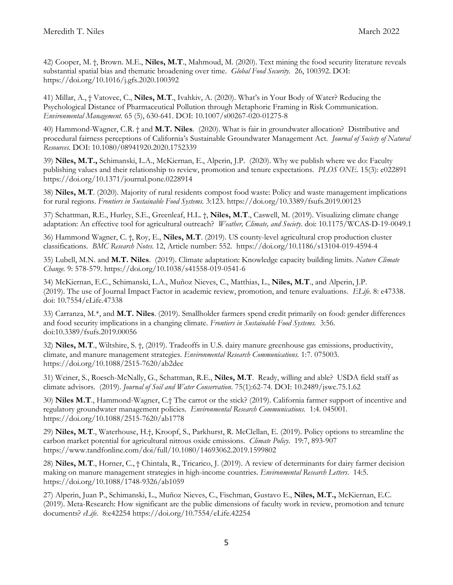42) Cooper, M. †, Brown. M.E., **Niles, M.T**., Mahmoud, M. (2020). Text mining the food security literature reveals substantial spatial bias and thematic broadening over time. *Global Food Security.* 26, 100392. DOI: https://doi.org/10.1016/j.gfs.2020.100392

41) Millar, A., † Vatovec, C., **Niles, M.T**., Ivahkiv, A. (2020). What's in Your Body of Water? Reducing the Psychological Distance of Pharmaceutical Pollution through Metaphoric Framing in Risk Communication. *Environmental Management.* 65 (5), 630-641. DOI: 10.1007/s00267-020-01275-8

40) Hammond-Wagner, C.R. † and **M.T. Niles**. (2020). What is fair in groundwater allocation? Distributive and procedural fairness perceptions of California's Sustainable Groundwater Management Act. *Journal of Society of Natural Resources.* DOI: 10.1080/08941920.2020.1752339

39) **Niles, M.T.,** Schimanski, L.A., McKiernan, E., Alperin, J.P. (2020). Why we publish where we do: Faculty publishing values and their relationship to review, promotion and tenure expectations. *PLOS ONE.* 15(3): e022891 https://doi.org/10.1371/journal.pone.0228914

38) **Niles, M.T**. (2020). Majority of rural residents compost food waste: Policy and waste management implications for rural regions. *Frontiers in Sustainable Food Systems.* 3:123. https://doi.org/10.3389/fsufs.2019.00123

37) Schattman, R.E., Hurley, S.E., Greenleaf, H.L. †, **Niles, M.T**., Caswell, M. (2019). Visualizing climate change adaptation: An effective tool for agricultural outreach? *Weather, Climate, and Society*. doi: 10.1175/WCAS-D-19-0049.1

36) Hammond Wagner, C. †, Roy, E., **Niles, M.T**. (2019). US county-level agricultural crop production cluster classifications. *BMC Research Notes.* 12, Article number: 552. https://doi.org/10.1186/s13104-019-4594-4

35) Lubell, M.N. and **M.T. Niles**. (2019). Climate adaptation: Knowledge capacity building limits. *Nature Climate Change.* 9: 578-579. https://doi.org/10.1038/s41558-019-0541-6

34) McKiernan, E.C., Schimanski, L.A., Muñoz Nieves, C., Matthias, L., **Niles, M.T**., and Alperin, J.P. (2019). The use of Journal Impact Factor in academic review, promotion, and tenure evaluations. *ELife*. 8: e47338. doi: 10.7554/eLife.47338

33) Carranza, M.\*, and **M.T. Niles**. (2019). Smallholder farmers spend credit primarily on food: gender differences and food security implications in a changing climate. *Frontiers in Sustainable Food Systems.* 3:56. doi:10.3389/fsufs.2019.00056

32) **Niles, M.T**., Wiltshire, S. †, (2019). Tradeoffs in U.S. dairy manure greenhouse gas emissions, productivity, climate, and manure management strategies. *Environmental Research Communications.* 1:7. 075003. https://doi.org/10.1088/2515-7620/ab2dec

31) Weiner, S., Roesch-McNally, G., Schattman, R.E., **Niles, M.T**. Ready, willing and able? USDA field staff as climate advisors. (2019). *Journal of Soil and Water Conservation*. 75(1):62-74. DOI: 10.2489/jswc.75.1.62

30) **Niles M.T**., Hammond-Wagner, C.† The carrot or the stick? (2019). California farmer support of incentive and regulatory groundwater management policies. *Environmental Research Communications.* 1:4. 045001. https://doi.org/10.1088/2515-7620/ab1778

29) **Niles, M.T**., Waterhouse, H.†, Kroopf, S., Parkhurst, R. McClellan, E. (2019). Policy options to streamline the carbon market potential for agricultural nitrous oxide emissions. *Climate Policy*. 19:7, 893-907 https://www.tandfonline.com/doi/full/10.1080/14693062.2019.1599802

28) **Niles, M.T**., Horner, C., † Chintala, R., Tricarico, J. (2019). A review of determinants for dairy farmer decision making on manure management strategies in high-income countries. *Environmental Research Letters*. 14:5. https://doi.org/10.1088/1748-9326/ab1059

27) Alperin, Juan P., Schimanski, L., Muñoz Nieves, C., Fischman, Gustavo E., **Niles, M.T.,** McKiernan, E.C. (2019). Meta-Research: How significant are the public dimensions of faculty work in review, promotion and tenure documents? *eLife*. 8:e42254 https://doi.org/10.7554/eLife.42254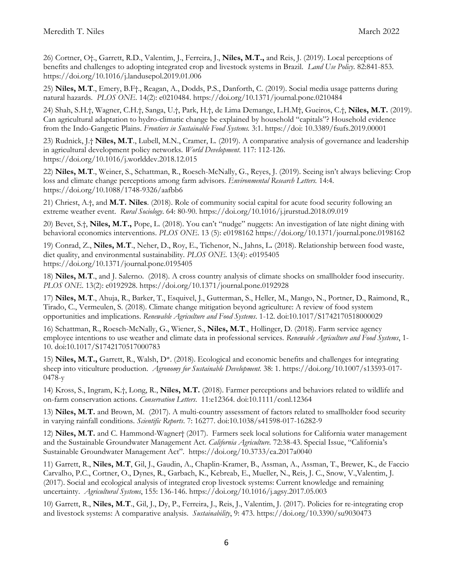26) Cortner, O†., Garrett, R.D., Valentim, J., Ferreira, J., **Niles, M.T.,** and Reis, J. (2019). Local perceptions of benefits and challenges to adopting integrated crop and livestock systems in Brazil. *Land Use Policy*. 82:841-853. https://doi.org/10.1016/j.landusepol.2019.01.006

25) **Niles, M.T**., Emery, B.F†., Reagan, A., Dodds, P.S., Danforth, C. (2019). Social media usage patterns during natural hazards. *PLOS ONE*. 14(2): e0210484. https://doi.org/10.1371/journal.pone.0210484

24) Shah, S.H.†, Wagner, C.H.†, Sanga, U.†, Park, H.†, de Lima Demange, L.H.M†, Gueiros, C.†, **Niles, M.T.** (2019). Can agricultural adaptation to hydro-climatic change be explained by household "capitals"? Household evidence from the Indo-Gangetic Plains. *Frontiers in Sustainable Food Systems.* 3:1. https://doi: 10.3389/fsufs.2019.00001

23) Rudnick, J.† **Niles, M.T**., Lubell, M.N., Cramer, L. (2019). A comparative analysis of governance and leadership in agricultural development policy networks. *World Development*. 117: 112-126. https://doi.org/10.1016/j.worlddev.2018.12.015

22) **Niles, M.T**., Weiner, S., Schattman, R., Roesch-McNally, G., Reyes, J. (2019). Seeing isn't always believing: Crop loss and climate change perceptions among farm advisors. *Environmental Research Letters.* 14:4. https://doi.org/10.1088/1748-9326/aafbb6

21) Chriest, A.†, and **M.T. Niles**. (2018). Role of community social capital for acute food security following an extreme weather event. *Rural Sociology*. 64: 80-90. https://doi.org/10.1016/j.jrurstud.2018.09.019

20) Bevet, S.†, **Niles, M.T.,** Pope, L. (2018). You can't "nudge" nuggets: An investigation of late night dining with behavioral economics interventions. *PLOS ONE*. 13 (5): e0198162 https://doi.org/10.1371/journal.pone.0198162

19) Conrad, Z., **Niles, M.T**., Neher, D., Roy, E., Tichenor, N., Jahns, L**.** (2018). Relationship between food waste, diet quality, and environmental sustainability. *PLOS ONE.* 13(4): e0195405 https://doi.org/10.1371/journal.pone.0195405

18) **Niles, M.T**., and J. Salerno. (2018). A cross country analysis of climate shocks on smallholder food insecurity. *PLOS ONE*. 13(2): e0192928. https://doi.org/10.1371/journal.pone.0192928

17) **Niles, M.T**., Ahuja, R., Barker, T., Esquivel, J., Gutterman, S., Heller, M., Mango, N., Portner, D., Raimond, R., Tirado, C., Vermeulen, S. (2018). Climate change mitigation beyond agriculture: A review of food system opportunities and implications. *Renewable Agriculture and Food Systems*. 1-12. doi:10.1017/S1742170518000029

16) Schattman, R., Roesch-McNally, G., Wiener, S., **Niles, M.T**., Hollinger, D. (2018). Farm service agency employee intentions to use weather and climate data in professional services. *Renewable Agriculture and Food Systems*, 1- 10. doi:10.1017/S1742170517000783

15) **Niles, M.T.,** Garrett, R., Walsh, D\*. (2018). Ecological and economic benefits and challenges for integrating sheep into viticulture production. *Agronomy for Sustainable Development.* 38: 1. https://doi.org/10.1007/s13593-017- 0478-y

14) Kross, S., Ingram, K.†, Long, R., **Niles, M.T.** (2018). Farmer perceptions and behaviors related to wildlife and on-farm conservation actions. *Conservation Letters*. 11:e12364. doi:10.1111/conl.12364

13) **Niles, M.T.** and Brown, M. (2017). A multi-country assessment of factors related to smallholder food security in varying rainfall conditions. *Scientific Reports*. 7: 16277. doi:10.1038/s41598-017-16282-9

12) **Niles, M.T.** and C. Hammond-Wagner† (2017). Farmers seek local solutions for California water management and the Sustainable Groundwater Management Act. *California Agriculture.* 72:38-43. Special Issue, "California's Sustainable Groundwater Management Act". https://doi.org/10.3733/ca.2017a0040

11) Garrett, R., **Niles, M.T**, Gil, J., Gaudin, A., Chaplin-Kramer, B., Assman, A., Assman, T., Brewer, K., de Faccio Carvalho, P.C., Cortner, O., Dynes, R., Garbach, K., Kebreab, E., Mueller, N., Reis, J. C., Snow, V.,Valentim, J. (2017). Social and ecological analysis of integrated crop livestock systems: Current knowledge and remaining uncertainty. *Agricultural Systems*, 155: 136-146. https://doi.org/10.1016/j.agsy.2017.05.003

10) Garrett, R., **Niles, M.T**., Gil, J., Dy, P., Ferreira, J., Reis, J., Valentim, J. (2017). Policies for re-integrating crop and livestock systems: A comparative analysis. *Sustainability*, 9: 473. https://doi.org/10.3390/su9030473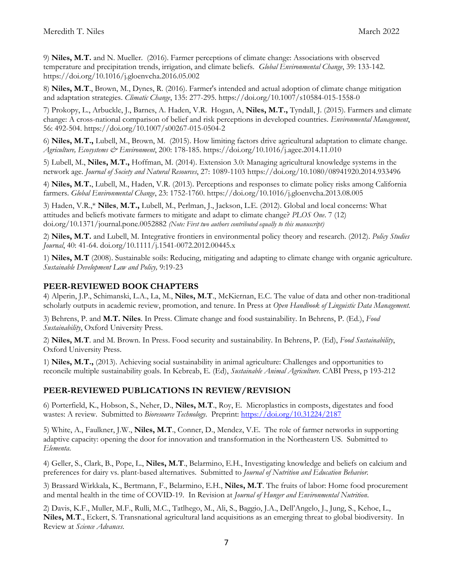9) **Niles, M.T.** and N. Mueller. (2016). Farmer perceptions of climate change: Associations with observed temperature and precipitation trends, irrigation, and climate beliefs. *Global Environmental Change*, 39: 133-142. https://doi.org/10.1016/j.gloenvcha.2016.05.002

8) **Niles, M.T**., Brown, M., Dynes, R. (2016). Farmer's intended and actual adoption of climate change mitigation and adaptation strategies. *Climatic Change*, 135: 277-295. https://doi.org/10.1007/s10584-015-1558-0

7) Prokopy, L., Arbuckle, J., Barnes, A. Haden, V.R. Hogan, A, **Niles, M.T.,** Tyndall, J. (2015). Farmers and climate change: A cross-national comparison of belief and risk perceptions in developed countries. *Environmental Management*, 56: 492-504. https://doi.org/10.1007/s00267-015-0504-2

6) **Niles, M.T.,** Lubell, M., Brown, M. (2015). How limiting factors drive agricultural adaptation to climate change. *Agriculture, Ecosystems & Environment*, 200: 178-185. https://doi.org/10.1016/j.agee.2014.11.010

5) Lubell, M., **Niles, M.T.,** Hoffman, M. (2014). Extension 3.0: Managing agricultural knowledge systems in the network age. *Journal of Society and Natural Resources*, 27: 1089-1103 https://doi.org/10.1080/08941920.2014.933496

4) **Niles, M.T.**, Lubell, M., Haden, V.R. (2013). Perceptions and responses to climate policy risks among California farmers. *Global Environmental Change*, 23: 1752-1760. https://doi.org/10.1016/j.gloenvcha.2013.08.005

3) Haden, V.R.,\* **Niles**, **M.T.,** Lubell, M., Perlman, J., Jackson, L.E. (2012). Global and local concerns: What attitudes and beliefs motivate farmers to mitigate and adapt to climate change? *PLOS One*. 7 (12) doi.org/10.1371/journal.pone.0052882 *(Note: First two authors contributed equally to this manuscript)* 

2) **Niles, M.T.** and Lubell, M. Integrative frontiers in environmental policy theory and research. (2012). *Policy Studies Journal*, 40: 41-64. doi.org/10.1111/j.1541-0072.2012.00445.x

1) **Niles, M.T** (2008). Sustainable soils: Reducing, mitigating and adapting to climate change with organic agriculture. *Sustainable Development Law and Policy,* 9:19-23

## **PEER-REVIEWED BOOK CHAPTERS**

4) Alperin, J.P., Schimanski, L.A., La, M., **Niles, M.T**., McKiernan, E.C. The value of data and other non-traditional scholarly outputs in academic review, promotion, and tenure. In Press at *Open Handbook of Linguistic Data Management.*

3) Behrens, P. and **M.T. Niles**. In Press. Climate change and food sustainability. In Behrens, P. (Ed.), *Food Sustainability*, Oxford University Press.

2) **Niles, M.T**. and M. Brown. In Press. Food security and sustainability. In Behrens, P. (Ed), *Food Sustainability*, Oxford University Press.

1) **Niles, M.T.,** (2013). Achieving social sustainability in animal agriculture: Challenges and opportunities to reconcile multiple sustainability goals. In Kebreab, E. (Ed), *Sustainable Animal Agriculture.* CABI Press, p 193-212

## **PEER-REVIEWED PUBLICATIONS IN REVIEW/REVISION**

6) Porterfield, K., Hobson, S., Neher, D., **Niles, M.T**., Roy, E. Microplastics in composts, digestates and food wastes: A review. Submitted to *Bioresource Technology*. Preprint:<https://doi.org/10.31224/2187>

5) White, A., Faulkner, J.W., **Niles, M.T**., Conner, D., Mendez, V.E. The role of farmer networks in supporting adaptive capacity: opening the door for innovation and transformation in the Northeastern US. Submitted to *Elementa*.

4) Geller, S., Clark, B., Pope, L., **Niles, M.T**., Belarmino, E.H., Investigating knowledge and beliefs on calcium and preferences for dairy vs. plant-based alternatives. Submitted to *Journal of Nutrition and Education Behavior.*

3) Brassard Wirkkala, K., Bertmann, F., Belarmino, E.H., **Niles, M.T**. The fruits of labor: Home food procurement and mental health in the time of COVID-19. In Revision at *Journal of Hunger and Environmental Nutrition*.

2) Davis, K.F., Muller, M.F., Rulli, M.C., Tatlhego, M., Ali, S., Baggio, J.A., Dell'Angelo, J., Jung, S., Kehoe, L., **Niles, M.T**., Eckert, S. Transnational agricultural land acquisitions as an emerging threat to global biodiversity. In Review at *Science Advances*.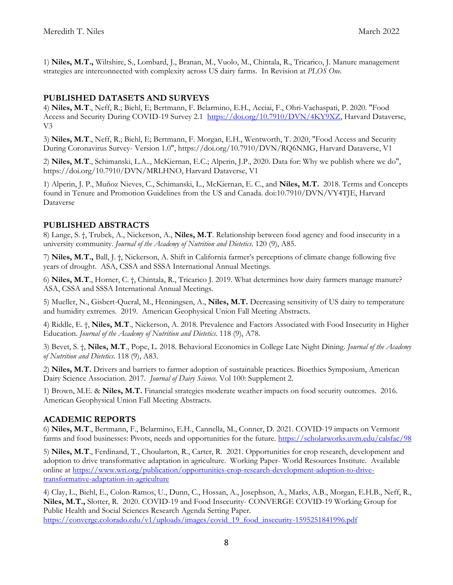1) **Niles, M.T.,** Wiltshire, S., Lombard, J., Branan, M., Vuolo, M., Chintala, R., Tricarico, J. Manure management strategies are interconnected with complexity across US dairy farms. In Revision at *PLOS One.*

## **PUBLISHED DATASETS AND SURVEYS**

4) **Niles, M.T**., Neff, R.; Biehl, E; Bertmann, F. Belarmino, E.H., Acciai, F., Ohri-Vachaspati, P. 2020. "Food Access and Security During COVID-19 Survey 2.1 [https://doi.org/10.7910/DVN/4KY9XZ,](https://doi.org/10.7910/DVN/4KY9XZ) Harvard Dataverse, V3

3) **Niles, M.T**., Neff, R.; Biehl, E; Bertmann, F. Morgan, E.H., Wentworth, T. 2020, "Food Access and Security During Coronavirus Survey- Version 1.0", https://doi.org/10.7910/DVN/RQ6NMG, Harvard Dataverse, V1

2) **Niles, M.T**., Schimanski, L.A.., McKiernan, E.C.; Alperin, J.P., 2020. Data for: Why we publish where we do", https://doi.org/10.7910/DVN/MRLHNO, Harvard Dataverse, V1

1) Alperin, J. P., Muñoz Nieves, C., Schimanski, L., McKiernan, E. C., and **Niles, M.T.** 2018. Terms and Concepts found in Tenure and Promotion Guidelines from the US and Canada. doi:10.7910/DVN/VY4TJE, Harvard Dataverse

## **PUBLISHED ABSTRACTS**

8) Lange, S. †, Trubek, A., Nickerson, A., **Niles, M.T**. Relationship between food agency and food insecurity in a university community. *Journal of the Academy of Nutrition and Dietetics*. 120 (9), A85.

7) **Niles, M.T.,** Ball, J. †, Nickerson, A. Shift in California farmer's perceptions of climate change following five years of drought. ASA, CSSA and SSSA International Annual Meetings.

6) **Niles, M.T**., Horner, C. †, Chintala, R., Tricarico J. 2019. What determines how dairy farmers manage manure? ASA, CSSA and SSSA International Annual Meetings.

5) Mueller, N., Gisbert-Queral, M., Henningsen, A., **Niles, M.T.** Decreasing sensitivity of US dairy to temperature and humidity extremes. 2019. American Geophysical Union Fall Meeting Abstracts.

4) Riddle, E. †, **Niles, M.T**., Nickerson, A. 2018. Prevalence and Factors Associated with Food Insecurity in Higher Education. *Journal of the Academy of Nutrition and Dietetics*. 118 (9), A78.

3) Bevet, S. †, **Niles, M.T**., Pope, L. 2018. Behavioral Economics in College Late Night Dining. *Journal of the Academy of Nutrition and Dietetics*. 118 (9), A83.

2) **Niles, M.T.** Drivers and barriers to farmer adoption of sustainable practices. Bioethics Symposium, American Dairy Science Association. 2017. *Journal of Dairy Science.* Vol 100: Supplement 2.

1) Brown, M.E. & **Niles, M.T.** Financial strategies moderate weather impacts on food security outcomes. 2016. American Geophysical Union Fall Meeting Abstracts.

## **ACADEMIC REPORTS**

6) **Niles, M.T**., Bertmann, F., Belarmino, E.H., Cannella, M., Conner, D. 2021. COVID-19 impacts on Vermont farms and food businesses: Pivots, needs and opportunities for the future.<https://scholarworks.uvm.edu/calsfac/98>

5) **Niles, M.T**., Ferdinand, T., Choularton, R., Carter, R. 2021. Opportunities for crop research, development and adoption to drive transformative adaptation in agriculture. Working Paper- World Resources Institute. Available online at [https://www.wri.org/publication/opportunities-crop-research-development-adoption-to-drive](https://www.wri.org/publication/opportunities-crop-research-development-adoption-to-drive-transformative-adaptation-in-agriculture)[transformative-adaptation-in-agriculture](https://www.wri.org/publication/opportunities-crop-research-development-adoption-to-drive-transformative-adaptation-in-agriculture)

4) Clay, L., Biehl, E., Colon-Ramos, U., Dunn, C., Hossan, A., Josephson, A., Marks, A.B., Morgan, E.H.B., Neff, R., **Niles, M.T.,** Slotter, R. 2020. COVID-19 and Food Insecurity- CONVERGE COVID-19 Working Group for Public Health and Social Sciences Research Agenda Setting Paper. [https://converge.colorado.edu/v1/uploads/images/covid\\_19\\_food\\_insecurity-1595251841996.pdf](https://converge.colorado.edu/v1/uploads/images/covid_19_food_insecurity-1595251841996.pdf)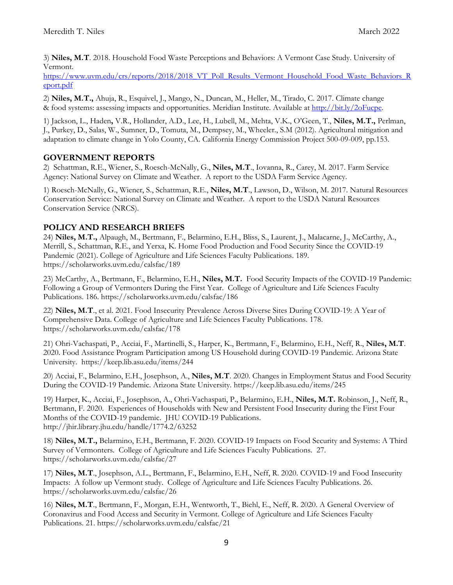3) **Niles, M.T**. 2018. Household Food Waste Perceptions and Behaviors: A Vermont Case Study. University of Vermont.

[https://www.uvm.edu/crs/reports/2018/2018\\_VT\\_Poll\\_Results\\_Vermont\\_Household\\_Food\\_Waste\\_Behaviors\\_R](https://www.uvm.edu/crs/reports/2018/2018_VT_Poll_Results_Vermont_Household_Food_Waste_Behaviors_Report.pdf) [eport.pdf](https://www.uvm.edu/crs/reports/2018/2018_VT_Poll_Results_Vermont_Household_Food_Waste_Behaviors_Report.pdf)

2) **Niles, M.T.,** Ahuja, R., Esquivel, J., Mango, N., Duncan, M., Heller, M., Tirado, C. 2017. Climate change & food systems: assessing impacts and opportunities. Meridian Institute. Available at [http://bit.ly/2oFucpe.](http://bit.ly/2oFucpe)

1) Jackson, L., Haden**,** V.R., Hollander, A.D., Lee, H., Lubell, M., Mehta, V.K., O'Geen, T., **Niles, M.T.,** Perlman, J., Purkey, D., Salas, W., Sumner, D., Tomuta, M., Dempsey, M., Wheeler., S.M (2012). Agricultural mitigation and adaptation to climate change in Yolo County, CA. California Energy Commission Project 500-09-009, pp.153.

## **GOVERNMENT REPORTS**

2) Schattman, R.E., Wiener, S., Roesch-McNally, G., **Niles, M.T**., Iovanna, R., Carey, M. 2017. Farm Service Agency: National Survey on Climate and Weather. A report to the USDA Farm Service Agency.

1) Roesch-McNally, G., Wiener, S., Schattman, R.E., **Niles, M.T**., Lawson, D., Wilson, M. 2017. Natural Resources Conservation Service: National Survey on Climate and Weather. A report to the USDA Natural Resources Conservation Service (NRCS).

## **POLICY AND RESEARCH BRIEFS**

24) **Niles, M.T.,** Alpaugh, M., Bertmann, F., Belarmino, E.H., Bliss, S., Laurent, J., Malacarne, J., McCarthy, A., Merrill, S., Schattman, R.E., and Yerxa, K. Home Food Production and Food Security Since the COVID-19 Pandemic (2021). College of Agriculture and Life Sciences Faculty Publications. 189. https://scholarworks.uvm.edu/calsfac/189

23) McCarthy, A., Bertmann, F., Belarmino, E.H., **Niles, M.T.** Food Security Impacts of the COVID-19 Pandemic: Following a Group of Vermonters During the First Year. College of Agriculture and Life Sciences Faculty Publications. 186. https://scholarworks.uvm.edu/calsfac/186

22) **Niles, M.T**., et al. 2021. Food Insecurity Prevalence Across Diverse Sites During COVID-19: A Year of Comprehensive Data. College of Agriculture and Life Sciences Faculty Publications. 178. https://scholarworks.uvm.edu/calsfac/178

21) Ohri-Vachaspati, P., Acciai, F., Martinelli, S., Harper, K., Bertmann, F., Belarmino, E.H., Neff, R., **Niles, M.T**. 2020. Food Assistance Program Participation among US Household during COVID-19 Pandemic. Arizona State University. https://keep.lib.asu.edu/items/244

20) Acciai, F., Belarmino, E.H., Josephson, A., **Niles, M.T**. 2020. Changes in Employment Status and Food Security During the COVID-19 Pandemic. Arizona State University. https://keep.lib.asu.edu/items/245

19) Harper, K., Acciai, F., Josephson, A., Ohri-Vachaspati, P., Belarmino, E.H., **Niles, M.T.** Robinson, J., Neff, R., Bertmann, F. 2020. Experiences of Households with New and Persistent Food Insecurity during the First Four Months of the COVID-19 pandemic. JHU COVID-19 Publications. http://jhir.library.jhu.edu/handle/1774.2/63252

18) **Niles, M.T.,** Belarmino, E.H., Bertmann, F. 2020. COVID-19 Impacts on Food Security and Systems: A Third Survey of Vermonters. College of Agriculture and Life Sciences Faculty Publications. 27. https://scholarworks.uvm.edu/calsfac/27

17) **Niles, M.T**., Josephson, A.L., Bertmann, F., Belarmino, E.H., Neff, R. 2020. COVID-19 and Food Insecurity Impacts: A follow up Vermont study. College of Agriculture and Life Sciences Faculty Publications. 26. https://scholarworks.uvm.edu/calsfac/26

16) **Niles, M.T**., Bertmann, F., Morgan, E.H., Wentworth, T., Biehl, E., Neff, R. 2020. A General Overview of Coronavirus and Food Access and Security in Vermont. College of Agriculture and Life Sciences Faculty Publications. 21. https://scholarworks.uvm.edu/calsfac/21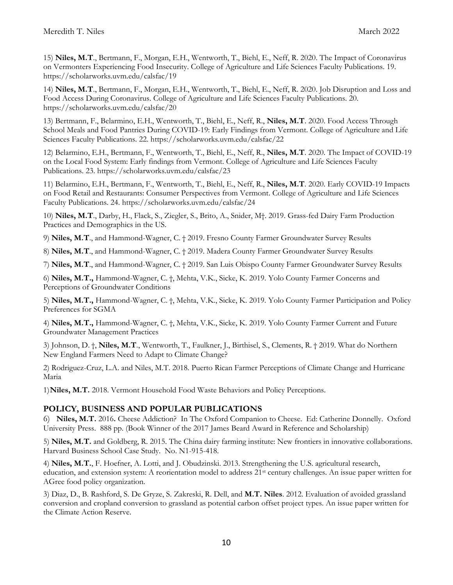15) **Niles, M.T**., Bertmann, F., Morgan, E.H., Wentworth, T., Biehl, E., Neff, R. 2020. The Impact of Coronavirus on Vermonters Experiencing Food Insecurity. College of Agriculture and Life Sciences Faculty Publications. 19. https://scholarworks.uvm.edu/calsfac/19

14) **Niles, M.T**., Bertmann, F., Morgan, E.H., Wentworth, T., Biehl, E., Neff, R. 2020. Job Disruption and Loss and Food Access During Coronavirus. College of Agriculture and Life Sciences Faculty Publications. 20. https://scholarworks.uvm.edu/calsfac/20

13) Bertmann, F., Belarmino, E.H., Wentworth, T., Biehl, E., Neff, R., **Niles, M.T**. 2020. Food Access Through School Meals and Food Pantries During COVID-19: Early Findings from Vermont. College of Agriculture and Life Sciences Faculty Publications. 22. https://scholarworks.uvm.edu/calsfac/22

12) Belarmino, E.H., Bertmann, F., Wentworth, T., Biehl, E., Neff, R., **Niles, M.T**. 2020. The Impact of COVID-19 on the Local Food System: Early findings from Vermont. College of Agriculture and Life Sciences Faculty Publications. 23. https://scholarworks.uvm.edu/calsfac/23

11) Belarmino, E.H., Bertmann, F., Wentworth, T., Biehl, E., Neff, R., **Niles, M.T**. 2020. Early COVID-19 Impacts on Food Retail and Restaurants: Consumer Perspectives from Vermont. College of Agriculture and Life Sciences Faculty Publications. 24. https://scholarworks.uvm.edu/calsfac/24

10) **Niles, M.T**., Darby, H., Flack, S., Ziegler, S., Brito, A., Snider, M†. 2019. Grass-fed Dairy Farm Production Practices and Demographics in the US.

9) **Niles, M.T**., and Hammond-Wagner, C. † 2019. Fresno County Farmer Groundwater Survey Results

8) **Niles, M.T**., and Hammond-Wagner, C. † 2019. Madera County Farmer Groundwater Survey Results

7) **Niles, M.T**., and Hammond-Wagner, C. † 2019. San Luis Obispo County Farmer Groundwater Survey Results

6) **Niles, M.T.,** Hammond-Wagner, C. †, Mehta, V.K., Sicke, K. 2019. Yolo County Farmer Concerns and Perceptions of Groundwater Conditions

5) **Niles, M.T.,** Hammond-Wagner, C. †, Mehta, V.K., Sicke, K. 2019. Yolo County Farmer Participation and Policy Preferences for SGMA

4) **Niles, M.T.,** Hammond-Wagner, C. †, Mehta, V.K., Sicke, K. 2019. Yolo County Farmer Current and Future Groundwater Management Practices

3) Johnson, D. †, **Niles, M.T**., Wentworth, T., Faulkner, J., Birthisel, S., Clements, R. † 2019. What do Northern New England Farmers Need to Adapt to Climate Change?

2) Rodriguez-Cruz, L.A. and Niles, M.T. 2018. Puerto Rican Farmer Perceptions of Climate Change and Hurricane Maria

1)**Niles, M.T.** 2018. Vermont Household Food Waste Behaviors and Policy Perceptions.

## **POLICY, BUSINESS AND POPULAR PUBLICATIONS**

6) **Niles, M.T.** 2016**.** Cheese Addiction? In The Oxford Companion to Cheese. Ed: Catherine Donnelly. Oxford University Press. 888 pp. (Book Winner of the 2017 James Beard Award in Reference and Scholarship)

5) **Niles, M.T.** and Goldberg, R. 2015. The China dairy farming institute: New frontiers in innovative collaborations. Harvard Business School Case Study. No. N1-915-418.

4) **Niles, M.T.**, F. Hoefner, A. Lotti, and J. Obudzinski. 2013. Strengthening the U.S. agricultural research, education, and extension system: A reorientation model to address 21st century challenges. An issue paper written for AGree food policy organization.

3) Diaz, D., B. Rashford, S. De Gryze, S. Zakreski, R. Dell, and **M.T. Niles**. 2012. Evaluation of avoided grassland conversion and cropland conversion to grassland as potential carbon offset project types. An issue paper written for the Climate Action Reserve.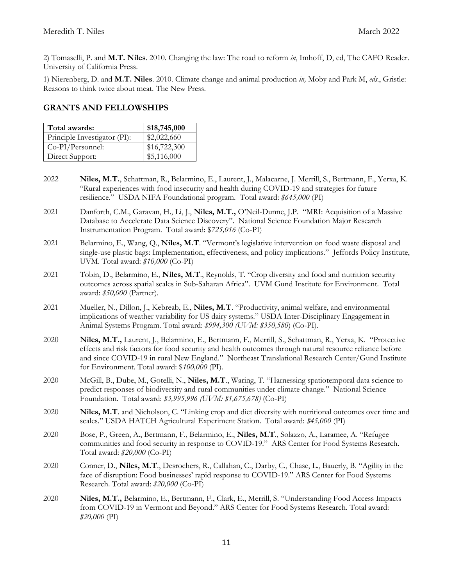2) Tomaselli, P. and **M.T. Niles**. 2010. Changing the law: The road to reform *in*, Imhoff, D, ed, The CAFO Reader. University of California Press.

1) Nierenberg, D. and **M.T. Niles**. 2010. Climate change and animal production *in,* Moby and Park M, *eds*., Gristle: Reasons to think twice about meat. The New Press.

### **GRANTS AND FELLOWSHIPS**

| Total awards:                | \$18,745,000 |
|------------------------------|--------------|
| Principle Investigator (PI): | \$2,022,660  |
| Co-PI/Personnel:             | \$16,722,300 |
| Direct Support:              | \$5,116,000  |

- 2022 **Niles, M.T.**, Schattman, R., Belarmino, E., Laurent, J., Malacarne, J. Merrill, S., Bertmann, F., Yerxa, K. "Rural experiences with food insecurity and health during COVID-19 and strategies for future resilience." USDA NIFA Foundational program. Total award: *\$645,000* (PI)
- 2021 Danforth, C.M., Garavan, H., Li, J., **Niles, M.T.,** O'Neil-Dunne, J.P. "MRI: Acquisition of a Massive Database to Accelerate Data Science Discovery". National Science Foundation Major Research Instrumentation Program. Total award: \$*725,016* (Co-PI)
- 2021 Belarmino, E., Wang, Q., **Niles, M.T**. "Vermont's legislative intervention on food waste disposal and single-use plastic bags: Implementation, effectiveness, and policy implications." Jeffords Policy Institute, UVM. Total award: *\$10,000* (Co-PI)
- 2021 Tobin, D., Belarmino, E., **Niles, M.T**., Reynolds, T. "Crop diversity and food and nutrition security outcomes across spatial scales in Sub-Saharan Africa". UVM Gund Institute for Environment. Total award: *\$50,000* (Partner).
- 2021 Mueller, N., Dillon, J., Kebreab, E., **Niles, M.T**. "Productivity, animal welfare, and environmental implications of weather variability for US dairy systems." USDA Inter-Disciplinary Engagement in Animal Systems Program. Total award: *\$994,300 (UVM: \$350,580*) (Co-PI).
- 2020 **Niles, M.T.,** Laurent, J., Belarmino, E., Bertmann, F., Merrill, S., Schattman, R., Yerxa, K. "Protective effects and risk factors for food security and health outcomes through natural resource reliance before and since COVID-19 in rural New England." Northeast Translational Research Center/Gund Institute for Environment. Total award: \$*100,000* (PI).
- 2020 McGill, B., Dube, M., Gotelli, N., **Niles, M.T**., Waring, T. "Harnessing spatiotemporal data science to predict responses of biodiversity and rural communities under climate change." National Science Foundation. Total award: *\$3,995,996 (UVM: \$1,675,678)* (Co-PI)
- 2020 **Niles, M.T**. and Nicholson, C. "Linking crop and diet diversity with nutritional outcomes over time and scales." USDA HATCH Agricultural Experiment Station. Total award: *\$45,000* (PI)
- 2020 Bose, P., Green, A., Bertmann, F., Belarmino, E., **Niles, M.T**., Solazzo, A., Laramee, A. "Refugee communities and food security in response to COVID-19." ARS Center for Food Systems Research. Total award: *\$20,000* (Co-PI)
- 2020 Conner, D., **Niles, M.T**., Desrochers, R., Callahan, C., Darby, C., Chase, L., Bauerly, B. "Agility in the face of disruption: Food businesses' rapid response to COVID-19." ARS Center for Food Systems Research. Total award: *\$20,000* (Co-PI)
- 2020 **Niles, M.T.,** Belarmino, E., Bertmann, F., Clark, E., Merrill, S. "Understanding Food Access Impacts from COVID-19 in Vermont and Beyond." ARS Center for Food Systems Research. Total award: *\$20,000* (PI)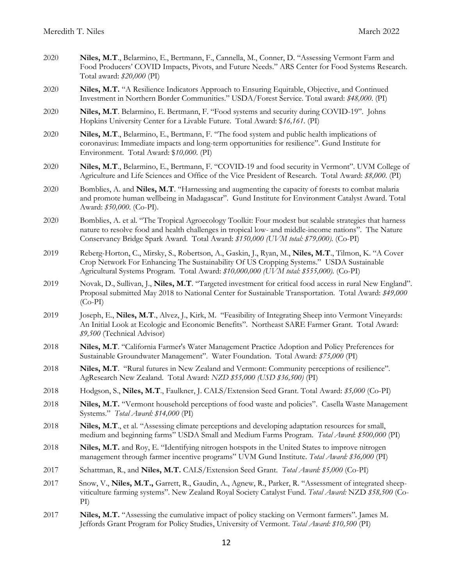2020 **Niles, M.T**., Belarmino, E., Bertmann, F., Cannella, M., Conner, D. "Assessing Vermont Farm and Food Producers' COVID Impacts, Pivots, and Future Needs." ARS Center for Food Systems Research. Total award: *\$20,000* (PI) 2020 **Niles, M.T.** "A Resilience Indicators Approach to Ensuring Equitable, Objective, and Continued Investment in Northern Border Communities." USDA/Forest Service. Total award: *\$48,000*. (PI) 2020 **Niles, M.T**. Belarmino, E. Bertmann, F. "Food systems and security during COVID-19". Johns Hopkins University Center for a Livable Future. Total Award: \$*16,161.* (PI) 2020 **Niles, M.T**., Belarmino, E., Bertmann, F. "The food system and public health implications of coronavirus: Immediate impacts and long-term opportunities for resilience". Gund Institute for Environment. Total Award: \$*10,000*. (PI) 2020 **Niles, M.T**., Belarmino, E., Bertmann, F. "COVID-19 and food security in Vermont". UVM College of Agriculture and Life Sciences and Office of the Vice President of Research. Total Award: *\$8,000*. (PI) 2020 Bomblies, A. and **Niles, M.T**. "Harnessing and augmenting the capacity of forests to combat malaria and promote human wellbeing in Madagascar". Gund Institute for Environment Catalyst Award. Total Award: *\$50,000*. (Co-PI). 2020 Bomblies, A. et al. "The Tropical Agroecology Toolkit: Four modest but scalable strategies that harness nature to resolve food and health challenges in tropical low- and middle-income nations". The Nature Conservancy Bridge Spark Award. Total Award: *\$150,000 (UVM total: \$79,000).* (Co-PI) 2019 Reberg-Horton, C., Mirsky, S., Robertson, A., Gaskin, J., Ryan, M., **Niles, M.T**., Tilmon, K. "A Cover Crop Network For Enhancing The Sustainability Of US Cropping Systems." USDA Sustainable Agricultural Systems Program. Total Award: *\$10,000,000 (UVM total: \$555,000).* (Co-PI) 2019 Novak, D., Sullivan, J., **Niles, M.T**. "Targeted investment for critical food access in rural New England". Proposal submitted May 2018 to National Center for Sustainable Transportation. Total Award: *\$49,000* (Co-PI) 2019 Joseph, E., **Niles, M.T**., Alvez, J., Kirk, M. "Feasibility of Integrating Sheep into Vermont Vineyards: An Initial Look at Ecologic and Economic Benefits". Northeast SARE Farmer Grant. Total Award: *\$9,500* (Technical Advisor) 2018 **Niles, M.T**. "California Farmer's Water Management Practice Adoption and Policy Preferences for Sustainable Groundwater Management". Water Foundation. Total Award: *\$75,000* (PI) 2018 **Niles, M.T**. "Rural futures in New Zealand and Vermont: Community perceptions of resilience". AgResearch New Zealand. Total Award: *NZD \$55,000 (USD \$36,500)* (PI) 2018 Hodgson, S., **Niles, M.T**., Faulkner, J. CALS/Extension Seed Grant. Total Award: *\$5,000* (Co-PI) 2018 **Niles, M.T.** "Vermont household perceptions of food waste and policies". Casella Waste Management Systems." *Total Award: \$14,000* (PI) 2018 **Niles, M.T**., et al. "Assessing climate perceptions and developing adaptation resources for small, medium and beginning farms" USDA Small and Medium Farms Program. *Total Award*: *\$500,000* (PI) 2018 **Niles, M.T.** and Roy, E. "Identifying nitrogen hotspots in the United States to improve nitrogen management through farmer incentive programs" UVM Gund Institute. *Total Award: \$36,000* (PI) 2017 Schattman, R., and **Niles, M.T.** CALS/Extension Seed Grant. *Total Award: \$5,000* (Co-PI) 2017 Snow, V., **Niles, M.T.,** Garrett, R., Gaudin, A., Agnew, R., Parker, R. "Assessment of integrated sheepviticulture farming systems". New Zealand Royal Society Catalyst Fund. *Total Award:* NZD *\$58,500* (Co-PI) 2017 **Niles, M.T.** "Assessing the cumulative impact of policy stacking on Vermont farmers". James M. Jeffords Grant Program for Policy Studies, University of Vermont. *Total Award: \$10,500* (PI)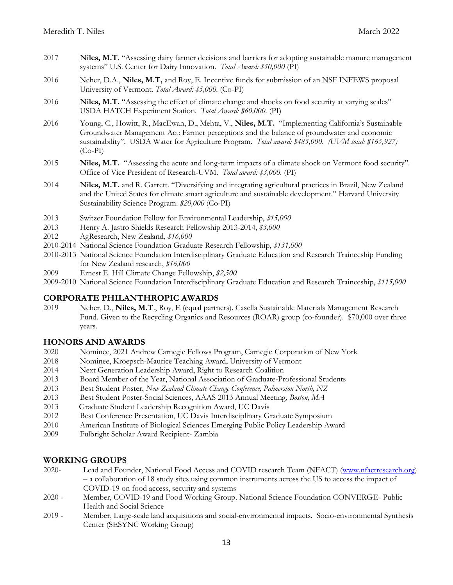- 2017 **Niles, M.T**. "Assessing dairy farmer decisions and barriers for adopting sustainable manure management systems" U.S. Center for Dairy Innovation. *Total Award: \$50,000* (PI)
- 2016 Neher, D.A., **Niles, M.T,** and Roy, E. Incentive funds for submission of an NSF INFEWS proposal University of Vermont. *Total Award: \$5,000.* (Co-PI)
- 2016 **Niles, M.T.** "Assessing the effect of climate change and shocks on food security at varying scales" USDA HATCH Experiment Station. *Total Award: \$60,000.* (PI)
- 2016 Young, C., Howitt, R., MacEwan, D., Mehta, V., **Niles, M.T.** "Implementing California's Sustainable Groundwater Management Act: Farmer perceptions and the balance of groundwater and economic sustainability". USDA Water for Agriculture Program. *Total award: \$485,000. (UVM total: \$165,927)* (Co-PI)
- 2015 **Niles, M.T.** "Assessing the acute and long-term impacts of a climate shock on Vermont food security". Office of Vice President of Research-UVM. *Total award: \$3,000.* (PI)
- 2014 **Niles, M.T.** and R. Garrett. "Diversifying and integrating agricultural practices in Brazil, New Zealand and the United States for climate smart agriculture and sustainable development." Harvard University Sustainability Science Program. *\$20,000* (Co-PI)
- 2013 Switzer Foundation Fellow for Environmental Leadership, *\$15,000*
- 2013 Henry A. Jastro Shields Research Fellowship 2013-2014, *\$3,000*
- 2012 AgResearch, New Zealand, *\$16,000*
- 2010-2014 National Science Foundation Graduate Research Fellowship, *\$131,000*
- 2010-2013 National Science Foundation Interdisciplinary Graduate Education and Research Traineeship Funding for New Zealand research, *\$16,000*
- 2009 Ernest E. Hill Climate Change Fellowship, *\$2,500*
- 2009-2010 National Science Foundation Interdisciplinary Graduate Education and Research Traineeship, *\$115,000*

### **CORPORATE PHILANTHROPIC AWARDS**

2019 Neher, D., **Niles, M.T**., Roy, E (equal partners). Casella Sustainable Materials Management Research Fund. Given to the Recycling Organics and Resources (ROAR) group (co-founder). \$70,000 over three years.

#### **HONORS AND AWARDS**

- 2020 Nominee, 2021 Andrew Carnegie Fellows Program, Carnegie Corporation of New York
- 2018 Nominee, Kroepsch-Maurice Teaching Award, University of Vermont
- 2014 Next Generation Leadership Award, Right to Research Coalition
- 2013 Board Member of the Year, National Association of Graduate-Professional Students
- 2013 Best Student Poster, *New Zealand Climate Change Conference, Palmerston North, NZ*
- 2013 Best Student Poster-Social Sciences, AAAS 2013 Annual Meeting, *Boston, MA*
- 2013 Graduate Student Leadership Recognition Award, UC Davis
- 2012 Best Conference Presentation, UC Davis Interdisciplinary Graduate Symposium
- 2010 American Institute of Biological Sciences Emerging Public Policy Leadership Award
- 2009 Fulbright Scholar Award Recipient- Zambia

### **WORKING GROUPS**

- 2020- Lead and Founder, National Food Access and COVID research Team (NFACT) [\(www.nfactresearch.org\)](http://www.nfactresearch.org/) – a collaboration of 18 study sites using common instruments across the US to access the impact of COVID-19 on food access, security and systems
- 2020 Member, COVID-19 and Food Working Group. National Science Foundation CONVERGE- Public Health and Social Science
- 2019 Member, Large-scale land acquisitions and social-environmental impacts. Socio-environmental Synthesis Center (SESYNC Working Group)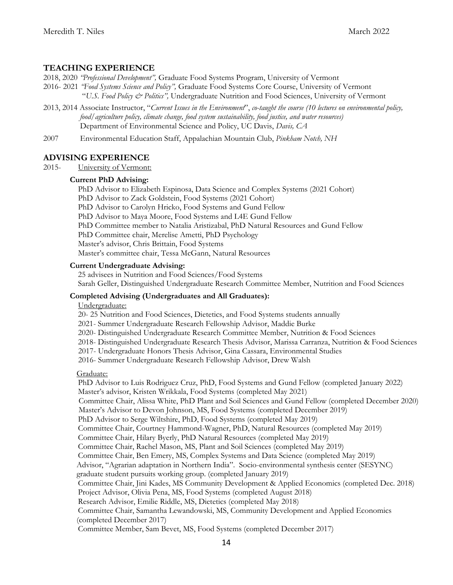### **TEACHING EXPERIENCE**

- 2018, 2020 *"Professional Development",* Graduate Food Systems Program, University of Vermont
- 2016- 2021 *"Food Systems Science and Policy",* Graduate Food Systems Core Course, University of Vermont "*U.S. Food Policy & Politics",* Undergraduate Nutrition and Food Sciences, University of Vermont
- 2013, 2014 Associate Instructor, "*Current Issues in the Environment*", *co-taught the course (10 lectures on environmental policy, food/agriculture policy, climate change, food system sustainability, food justice, and water resources)* Department of Environmental Science and Policy, UC Davis, *Davis, CA*
- 2007 Environmental Education Staff, Appalachian Mountain Club, *Pinkham Notch, NH*

### **ADVISING EXPERIENCE**

2015- University of Vermont:

#### **Current PhD Advising:**

 PhD Advisor to Elizabeth Espinosa, Data Science and Complex Systems (2021 Cohort) PhD Advisor to Zack Goldstein, Food Systems (2021 Cohort) PhD Advisor to Carolyn Hricko, Food Systems and Gund Fellow

PhD Advisor to Maya Moore, Food Systems and L4E Gund Fellow

PhD Committee member to Natalia Aristizabal, PhD Natural Resources and Gund Fellow

PhD Committee chair, Merelise Ametti, PhD Psychology

Master's advisor, Chris Brittain, Food Systems

Master's committee chair, Tessa McGann, Natural Resources

#### **Current Undergraduate Advising:**

 25 advisees in Nutrition and Food Sciences/Food Systems Sarah Geller, Distinguished Undergraduate Research Committee Member, Nutrition and Food Sciences

#### **Completed Advising (Undergraduates and All Graduates):**

#### Undergraduate:

20- 25 Nutrition and Food Sciences, Dietetics, and Food Systems students annually

2021- Summer Undergraduate Research Fellowship Advisor, Maddie Burke

- 2020- Distinguished Undergraduate Research Committee Member, Nutrition & Food Sciences
- 2018- Distinguished Undergraduate Research Thesis Advisor, Marissa Carranza, Nutrition & Food Sciences
- 2017- Undergraduate Honors Thesis Advisor, Gina Cassara, Environmental Studies

2016- Summer Undergraduate Research Fellowship Advisor, Drew Walsh

#### Graduate:

 PhD Advisor to Luis Rodriguez Cruz, PhD, Food Systems and Gund Fellow (completed January 2022) Master's advisor, Kristen Wrikkala, Food Systems (completed May 2021) Committee Chair, Alissa White, PhD Plant and Soil Sciences and Gund Fellow (completed December 2020) Master's Advisor to Devon Johnson, MS, Food Systems (completed December 2019) PhD Advisor to Serge Wiltshire, PhD, Food Systems (completed May 2019)

Committee Chair, Courtney Hammond-Wagner, PhD, Natural Resources (completed May 2019)

Committee Chair, Hilary Byerly, PhD Natural Resources (completed May 2019)

Committee Chair, Rachel Mason, MS, Plant and Soil Sciences (completed May 2019)

Committee Chair, Ben Emery, MS, Complex Systems and Data Science (completed May 2019)

Advisor, "Agrarian adaptation in Northern India". Socio-environmental synthesis center (SESYNC)

graduate student pursuits working group. (completed January 2019)

 Committee Chair, Jini Kades, MS Community Development & Applied Economics (completed Dec. 2018) Project Advisor, Olivia Pena, MS, Food Systems (completed August 2018)

Research Advisor, Emilie Riddle, MS, Dietetics (completed May 2018)

 Committee Chair, Samantha Lewandowski, MS, Community Development and Applied Economics (completed December 2017)

Committee Member, Sam Bevet, MS, Food Systems (completed December 2017)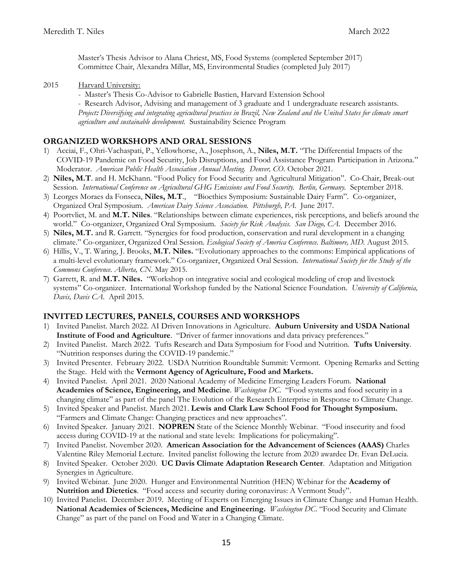Master's Thesis Advisor to Alana Chriest, MS, Food Systems (completed September 2017) Committee Chair, Alexandra Millar, MS, Environmental Studies (completed July 2017)

2015 Harvard University:

- Master's Thesis Co-Advisor to Gabrielle Bastien, Harvard Extension School

 - Research Advisor, Advising and management of 3 graduate and 1 undergraduate research assistants. *Project***:** *Diversifying and integrating agricultural practices in Brazil, New Zealand and the United States for climate smart agriculture and sustainable development.* Sustainability Science Program

### **ORGANIZED WORKSHOPS AND ORAL SESSIONS**

- 1) Acciai, F., Ohri-Vachaspati, P., Yellowhorse, A., Josephson, A., **Niles, M.T.** "The Differential Impacts of the COVID-19 Pandemic on Food Security, Job Disruptions, and Food Assistance Program Participation in Arizona." Moderator. *American Public Health Association Annual Meeting. Denver, CO*. October 2021.
- 2) **Niles, M.T**. and H. McKhann. "Food Policy for Food Security and Agricultural Mitigation". Co-Chair, Break-out Session. *International Conference on Agricultural GHG Emissions and Food Security. Berlin, Germany.* September 2018.
- 3) Leorges Moraes da Fonseca, **Niles, M.T**., "Bioethics Symposium: Sustainable Dairy Farm". Co-organizer, Organized Oral Symposium. *American Dairy Science Association. Pittsburgh, PA*. June 2017.
- 4) Poortvliet, M. and **M.T. Niles**. "Relationships between climate experiences, risk perceptions, and beliefs around the world." Co-organizer, Organized Oral Symposium. *Society for Risk Analysis. San Diego, CA*. December 2016.
- 5) **Niles, M.T.** and R. Garrett. "Synergies for food production, conservation and rural development in a changing climate." Co-organizer, Organized Oral Session. *Ecological Society of America Conference. Baltimore, MD.* August 2015.
- 6) Hillis, V., T. Waring, J. Brooks, **M.T. Niles.** "Evolutionary approaches to the commons: Empirical applications of a multi-level evolutionary framework." Co-organizer, Organized Oral Session. *International Society for the Study of the Commons Conference. Alberta, CN.* May 2015.
- 7) Garrett, R. and **M.T. Niles.** "Workshop on integrative social and ecological modeling of crop and livestock systems" Co-organizer. International Workshop funded by the National Science Foundation. *University of California, Davis, Davis CA*. April 2015.

### **INVITED LECTURES, PANELS, COURSES AND WORKSHOPS**

- 1) Invited Panelist. March 2022. AI Driven Innovations in Agriculture. **Auburn University and USDA National Institute of Food and Agriculture**. "Driver of farmer innovations and data privacy preferences."
- 2) Invited Panelist. March 2022. Tufts Research and Data Symposium for Food and Nutrition. **Tufts University**. "Nutrition responses during the COVID-19 pandemic."
- 3) Invited Presenter. February 2022. USDA Nutrition Roundtable Summit: Vermont. Opening Remarks and Setting the Stage. Held with the **Vermont Agency of Agriculture, Food and Markets.**
- 4) Invited Panelist. April 2021. 2020 National Academy of Medicine Emerging Leaders Forum. **National Academies of Science, Engineering, and Medicine**. *Washington DC*. "Food systems and food security in a changing climate" as part of the panel The Evolution of the Research Enterprise in Response to Climate Change.
- 5) Invited Speaker and Panelist. March 2021. **Lewis and Clark Law School Food for Thought Symposium.** "Farmers and Climate Change: Changing practices and new approaches".
- 6) Invited Speaker. January 2021. **NOPREN** State of the Science Monthly Webinar. "Food insecurity and food access during COVID-19 at the national and state levels: Implications for policymaking".
- 7) Invited Panelist. November 2020. **American Association for the Advancement of Sciences (AAAS)** Charles Valentine Riley Memorial Lecture. Invited panelist following the lecture from 2020 awardee Dr. Evan DeLucia.
- 8) Invited Speaker. October 2020. **UC Davis Climate Adaptation Research Center**. Adaptation and Mitigation Synergies in Agriculture.
- 9) Invited Webinar. June 2020. Hunger and Environmental Nutrition (HEN) Webinar for the **Academy of Nutrition and Dietetics**. "Food access and security during coronavirus: A Vermont Study".
- 10) Invited Panelist. December 2019. Meeting of Experts on Emerging Issues in Climate Change and Human Health. **National Academies of Sciences, Medicine and Engineering.** *Washington DC*. "Food Security and Climate Change" as part of the panel on Food and Water in a Changing Climate.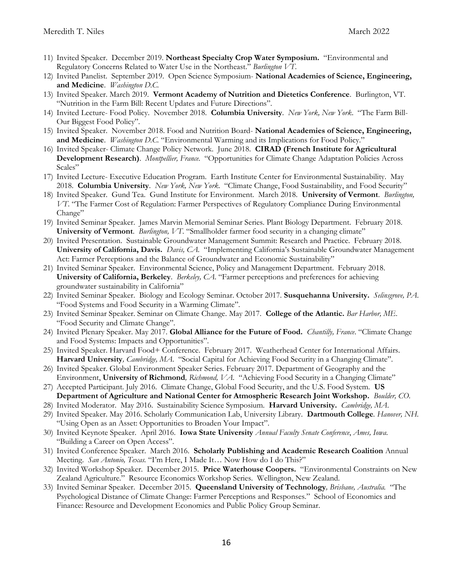- 11) Invited Speaker. December 2019. **Northeast Specialty Crop Water Symposium.** "Environmental and Regulatory Concerns Related to Water Use in the Northeast." *Burlington VT*.
- 12) Invited Panelist. September 2019. Open Science Symposium- **National Academies of Science, Engineering, and Medicine**. *Washington D.C.*
- 13) Invited Speaker. March 2019. **Vermont Academy of Nutrition and Dietetics Conference**. Burlington, VT. "Nutrition in the Farm Bill: Recent Updates and Future Directions".
- 14) Invited Lecture- Food Policy. November 2018. **Columbia University**. *New York, New York*. "The Farm Bill-Our Biggest Food Policy".
- 15) Invited Speaker. November 2018. Food and Nutrition Board- **National Academies of Science, Engineering, and Medicine**. *Washington D.C.* "Environmental Warming and its Implications for Food Policy."
- 16) Invited Speaker- Climate Change Policy Network. June 2018. **CIRAD (French Institute for Agricultural Development Research)**. *Montpellier, France.* "Opportunities for Climate Change Adaptation Policies Across Scales"
- 17) Invited Lecture- Executive Education Program. Earth Institute Center for Environmental Sustainability. May 2018. **Columbia University**. *New York, New York*. "Climate Change, Food Sustainability, and Food Security"
- 18) Invited Speaker. Gund Tea. Gund Institute for Environment. March 2018. **University of Vermont**. *Burlington, VT*. "The Farmer Cost of Regulation: Farmer Perspectives of Regulatory Compliance During Environmental Change"
- 19) Invited Seminar Speaker. James Marvin Memorial Seminar Series. Plant Biology Department. February 2018. **University of Vermont**. *Burlington, VT*. "Smallholder farmer food security in a changing climate"
- 20) Invited Presentation. Sustainable Groundwater Management Summit: Research and Practice. February 2018. **University of California, Davis.** *Davis, CA.* "Implementing California's Sustainable Groundwater Management Act: Farmer Perceptions and the Balance of Groundwater and Economic Sustainability"
- 21) Invited Seminar Speaker. Environmental Science, Policy and Management Department. February 2018. **University of California, Berkeley**. *Berkeley, CA*. "Farmer perceptions and preferences for achieving groundwater sustainability in California"
- 22) Invited Seminar Speaker. Biology and Ecology Seminar. October 2017. **Susquehanna University.** *Selinsgrove, PA*. "Food Systems and Food Security in a Warming Climate".
- 23) Invited Seminar Speaker. Seminar on Climate Change. May 2017. **College of the Atlantic.** *Bar Harbor, ME*. "Food Security and Climate Change".
- 24) Invited Plenary Speaker. May 2017. **Global Alliance for the Future of Food.** *Chantilly, France*. "Climate Change and Food Systems: Impacts and Opportunities".
- 25) Invited Speaker. Harvard Food+ Conference. February 2017. Weatherhead Center for International Affairs. **Harvard University***, Cambridge, MA*. "Social Capital for Achieving Food Security in a Changing Climate".
- 26) Invited Speaker. Global Environment Speaker Series. February 2017. Department of Geography and the Environment, **University of Richmond***, Richmond, VA.* "Achieving Food Security in a Changing Climate"
- 27) Accepted Participant. July 2016. Climate Change, Global Food Security, and the U.S. Food System. **US Department of Agriculture and National Center for Atmospheric Research Joint Workshop.** *Boulder, CO.*
- 28) Invited Moderator. May 2016. Sustainability Science Symposium*.* **Harvard University.** *Cambridge, MA*.
- 29) Invited Speaker. May 2016. Scholarly Communication Lab, University Library. **Dartmouth College***. Hanover, NH.*  "Using Open as an Asset: Opportunities to Broaden Your Impact".
- 30) Invited Keynote Speaker. April 2016. **Iowa State University** *Annual Faculty Senate Conference*, *Ames, Iowa*. "Building a Career on Open Access".
- 31) Invited Conference Speaker. March 2016. **Scholarly Publishing and Academic Research Coalition** Annual Meeting. San Antonio, Texas. "I'm Here, I Made It... Now How do I do This?"
- 32) Invited Workshop Speaker. December 2015. **Price Waterhouse Coopers.** "Environmental Constraints on New Zealand Agriculture." Resource Economics Workshop Series. Wellington, New Zealand.
- 33) Invited Seminar Speaker. December 2015. **Queensland University of Technology***, Brisbane, Australia.* "The Psychological Distance of Climate Change: Farmer Perceptions and Responses." School of Economics and Finance: Resource and Development Economics and Public Policy Group Seminar.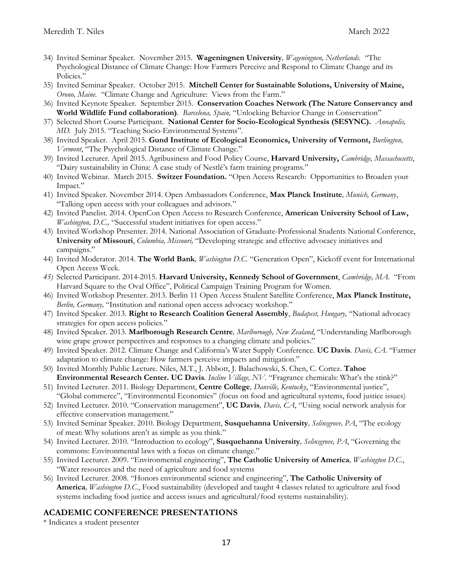- 34) Invited Seminar Speaker. November 2015. **Wageningnen University***, Wageningnen, Netherlands.* "The Psychological Distance of Climate Change: How Farmers Perceive and Respond to Climate Change and its Policies."
- 35) Invited Seminar Speaker. October 2015. **Mitchell Center for Sustainable Solutions, University of Maine,** *Orono, Maine.* "Climate Change and Agriculture: Views from the Farm."
- 36) Invited Keynote Speaker. September 2015. **Conservation Coaches Network (The Nature Conservancy and World Wildlife Fund collaboration)***. Barcelona, Spain,* "Unlocking Behavior Change in Conservation"
- 37) Selected Short Course Participant. **National Center for Socio-Ecological Synthesis (SESYNC).** *Annapolis, MD.* July 2015. "Teaching Socio-Environmental Systems".
- 38) Invited Speaker. April 2015. **Gund Institute of Ecological Economics, University of Vermont,** *Burlington, Vermont*, "The Psychological Distance of Climate Change."
- 39) Invited Lecturer. April 2015. Agribusiness and Food Policy Course, **Harvard University,** *Cambridge, Massachusetts*, "Dairy sustainability in China: A case study of Nestlé's farm training programs."
- 40) Invited Webinar. March 2015. **Switzer Foundation.** "Open Access Research: Opportunities to Broaden your Impact."
- 41) Invited Speaker. November 2014. Open Ambassadors Conference, **Max Planck Institute***, Munich, Germany*, "Talking open access with your colleagues and advisors."
- 42) Invited Panelist. 2014. OpenCon Open Access to Research Conference, **American University School of Law,** *Washington, D.C.,* "Successful student initiatives for open access."
- 43) Invited Workshop Presenter. 2014. National Association of Graduate-Professional Students National Conference, **University of Missouri**, *Columbia, Missouri,* "Developing strategic and effective advocacy initiatives and campaigns."
- 44) Invited Moderator. 2014. **The World Bank***, Washington D.C.* "Generation Open", Kickoff event for International Open Access Week.
- *45)* Selected Participant. 2014-2015. **Harvard University, Kennedy School of Government**, *Cambridge, MA.* "From Harvard Square to the Oval Office", Political Campaign Training Program for Women.
- 46) Invited Workshop Presenter. 2013. Berlin 11 Open Access Student Satellite Conference, **Max Planck Institute,** *Berlin, Germany,* "Institution and national open access advocacy workshop."
- 47) Invited Speaker. 2013. **Right to Research Coalition General Assembly**, *Budapest, Hungary,* "National advocacy strategies for open access policies."
- 48) Invited Speaker. 2013. **Marlborough Research Centre***, Marlborough, New Zealand*, "Understanding Marlborough wine grape grower perspectives and responses to a changing climate and policies."
- 49) Invited Speaker. 2012. Climate Change and California's Water Supply Conference. **UC Davis***. Davis, CA*. "Farmer adaptation to climate change: How farmers perceive impacts and mitigation."
- 50) Invited Monthly Public Lecture. Niles, M.T., J. Abbott, J. Balachowski, S. Chen, C. Cortez. **Tahoe Environmental Research Center. UC Davis***. Incline Village, NV.* "Fragrance chemicals: What's the stink?"
- 51) Invited Lecturer. 2011. Biology Department, **Centre College***, Danville, Kentucky*, "Environmental justice", "Global commerce", "Environmental Economics" (focus on food and agricultural systems, food justice issues)
- 52) Invited Lecturer. 2010. "Conservation management", **UC Davis***, Davis, CA*, "Using social network analysis for effective conservation management."
- 53) Invited Seminar Speaker. 2010. Biology Department, **Susquehanna University***, Selinsgrove, PA*, "The ecology of meat: Why solutions aren't as simple as you think."
- 54) Invited Lecturer. 2010. "Introduction to ecology", **Susquehanna University***, Selinsgrove, PA*, "Governing the commons: Environmental laws with a focus on climate change."
- 55) Invited Lecturer. 2009. "Environmental engineering", **The Catholic University of America***, Washington D.C.*, "Water resources and the need of agriculture and food systems
- 56) Invited Lecturer. 2008. "Honors environmental science and engineering", **The Catholic University of America***, Washington D.C.*, Food sustainability (developed and taught 4 classes related to agriculture and food systems including food justice and access issues and agricultural/food systems sustainability).

## **ACADEMIC CONFERENCE PRESENTATIONS**

\* Indicates a student presenter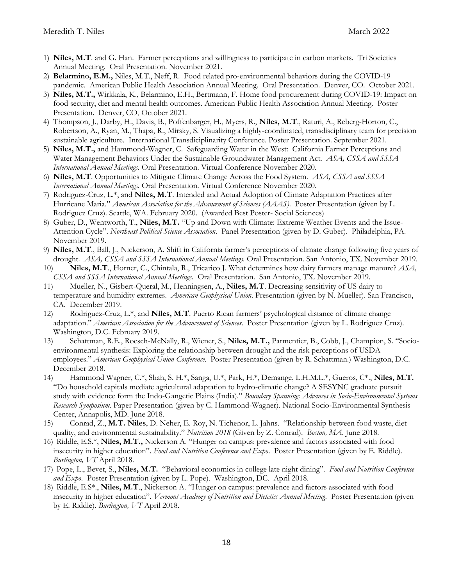- 1) **Niles, M.T**. and G. Han. Farmer perceptions and willingness to participate in carbon markets. Tri Societies Annual Meeting. Oral Presentation. November 2021.
- 2) **Belarmino, E.M.,** Niles, M.T., Neff, R. Food related pro-environmental behaviors during the COVID-19 pandemic. American Public Health Association Annual Meeting. Oral Presentation. Denver, CO. October 2021.
- 3) **Niles, M.T.,** Wirkkala, K., Belarmino, E.H., Bertmann, F. Home food procurement during COVID-19: Impact on food security, diet and mental health outcomes. American Public Health Association Annual Meeting. Poster Presentation. Denver, CO, October 2021.
- 4) Thompson, J., Darby, H., Davis, B., Poffenbarger, H., Myers, R., **Niles, M.T**., Raturi, A., Reberg-Horton, C., Robertson, A., Ryan, M., Thapa, R., Mirsky, S. Visualizing a highly-coordinated, transdisciplinary team for precision sustainable agriculture. International Transdiciplinarity Conference. Poster Presentation. September 2021.
- 5) **Niles, M.T.,** and Hammond-Wagner, C. Safeguarding Water in the West: California Farmer Perceptions and Water Management Behaviors Under the Sustainable Groundwater Management Act. *ASA, CSSA and SSSA International Annual Meetings.* Oral Presentation. Virtual Conference November 2020.
- 6) **Niles, M.T**. Opportunities to Mitigate Climate Change Across the Food System. *ASA, CSSA and SSSA International Annual Meetings.* Oral Presentation. Virtual Conference November 2020.
- 7) Rodriguez-Cruz, L.\*, and **Niles, M.T**. Intended and Actual Adoption of Climate Adaptation Practices after Hurricane Maria." *American Association for the Advancement of Sciences (AAAS)*. Poster Presentation (given by L. Rodriguez Cruz). Seattle, WA. February 2020. (Awarded Best Poster- Social Sciences)
- 8) Guber, D., Wentworth, T., **Niles, M.T.** "Up and Down with Climate: Extreme Weather Events and the Issue-Attention Cycle". *Northeast Political Science Association*. Panel Presentation (given by D. Guber). Philadelphia, PA. November 2019.
- 9) **Niles, M.T**., Ball, J., Nickerson, A. Shift in California farmer's perceptions of climate change following five years of drought. *ASA, CSSA and SSSA International Annual Meetings.* Oral Presentation. San Antonio, TX. November 2019.
- 10) **Niles, M.T**., Horner, C., Chintala, R., Tricarico J. What determines how dairy farmers manage manure? *ASA, CSSA and SSSA International Annual Meetings.* Oral Presentation. San Antonio, TX. November 2019.
- 11) Mueller, N., Gisbert-Queral, M., Henningsen, A., **Niles, M.T**. Decreasing sensitivity of US dairy to temperature and humidity extremes. *American Geophysical Union*. Presentation (given by N. Mueller). San Francisco, CA. December 2019.
- 12) Rodriguez-Cruz, L.\*, and **Niles, M.T**. Puerto Rican farmers' psychological distance of climate change adaptation." *American Association for the Advancement of Sciences*. Poster Presentation (given by L. Rodriguez Cruz). Washington, D.C. February 2019.
- 13) Schattman, R.E., Roesch-McNally, R., Wiener, S., **Niles, M.T.,** Parmentier, B., Cobb, J., Champion, S. "Socioenvironmental synthesis: Exploring the relationship between drought and the risk perceptions of USDA employees." *American Geophysical Union Conference*. Poster Presentation (given by R. Schattman.) Washington, D.C. December 2018.
- 14) Hammond Wagner, C.\*, Shah, S. H.\*, Sanga, U.\*, Park, H.\*, Demange, L.H.M.L.\*, Gueros, C\*., **Niles, M.T.** "Do household capitals mediate agricultural adaptation to hydro-climatic change? A SESYNC graduate pursuit study with evidence form the Indo-Gangetic Plains (India)." *Boundary Spanning: Advances in Socio-Environmental Systems Research Symposium*. Paper Presentation (given by C. Hammond-Wagner). National Socio-Environmental Synthesis Center, Annapolis, MD. June 2018.
- 15) Conrad, Z., **M.T. Niles**, D. Neher, E. Roy, N. Tichenor, L. Jahns. "Relationship between food waste, diet quality, and environmental sustainability." *Nutrition 2018* (Given by Z. Conrad). *Boston, MA*. June 2018.
- 16) Riddle, E.S.\*, **Niles, M.T.,** Nickerson A. "Hunger on campus: prevalence and factors associated with food insecurity in higher education". *Food and Nutrition Conference and Expo*. Poster Presentation (given by E. Riddle). *Burlington, VT* April 2018.
- 17) Pope, L., Bevet, S., **Niles, M.T.** "Behavioral economics in college late night dining". *Food and Nutrition Conference and Expo*. Poster Presentation (given by L. Pope). Washington, DC. April 2018.
- 18) Riddle, E.S\*., **Niles, M.T**., Nickerson A. "Hunger on campus: prevalence and factors associated with food insecurity in higher education". *Vermont Academy of Nutrition and Dietetics Annual Meeting*. Poster Presentation (given by E. Riddle). *Burlington, VT* April 2018.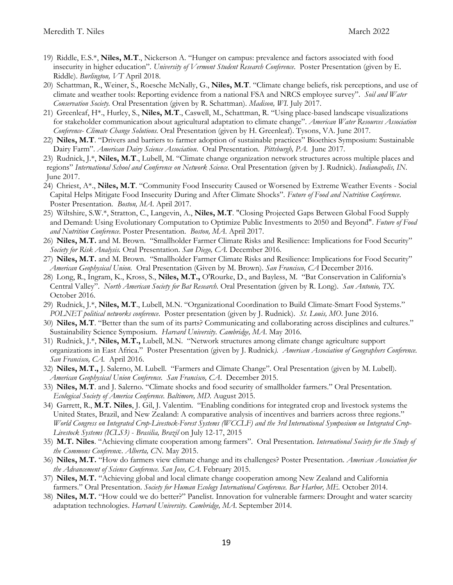- 19) Riddle, E.S.\*, **Niles, M.T**., Nickerson A. "Hunger on campus: prevalence and factors associated with food insecurity in higher education". *University of Vermont Student Research Conference*. Poster Presentation (given by E. Riddle). *Burlington, VT* April 2018.
- 20) Schattman, R., Weiner, S., Roesche McNally, G., **Niles, M.T**. "Climate change beliefs, risk perceptions, and use of climate and weather tools: Reporting evidence from a national FSA and NRCS employee survey". *Soil and Water Conservation Society.* Oral Presentation (given by R. Schattman). *Madison, WI.* July 2017.
- 21) Greenleaf, H\*., Hurley, S., **Niles, M.T**., Caswell, M., Schattman, R. "Using place-based landscape visualizations for stakeholder communication about agricultural adaptation to climate change". *American Water Resources Association Conference- Climate Change Solutions.* Oral Presentation (given by H. Greenleaf). Tysons, VA. June 2017.
- 22) **Niles, M.T**. "Drivers and barriers to farmer adoption of sustainable practices" Bioethics Symposium: Sustainable Dairy Farm". *American Dairy Science Association*.Oral Presentation. *Pittsburgh, PA*. June 2017.
- 23) Rudnick, J.\*, **Niles, M.T**., Lubell, M. "Climate change organization network structures across multiple places and regions" *International School and Conference on Network Science.* Oral Presentation (given by J. Rudnick). *Indianapolis, IN*. June 2017.
- 24) Chriest, A\*., **Niles, M.T**. "Community Food Insecurity Caused or Worsened by Extreme Weather Events Social Capital Helps Mitigate Food Insecurity During and After Climate Shocks". *Future of Food and Nutrition Conference*. Poster Presentation. *Boston, MA*. April 2017.
- 25) Wiltshire, S.W.\*, Stratton, C., Langevin, A., **Niles, M.T**. "Closing Projected Gaps Between Global Food Supply and Demand: Using Evolutionary Computation to Optimize Public Investments to 2050 and Beyond". *Future of Food and Nutrition Conference*. Poster Presentation. *Boston, MA*. April 2017.
- 26) **Niles, M.T.** and M. Brown. "Smallholder Farmer Climate Risks and Resilience: Implications for Food Security" *Society for Risk Analysis.* Oral Presentation. *San Diego, CA.* December 2016.
- 27) **Niles, M.T.** and M. Brown. "Smallholder Farmer Climate Risks and Resilience: Implications for Food Security" *American Geophysical Union.* Oral Presentation (Given by M. Brown). *San Francisco, CA* December 2016.
- 28) Long, R., Ingram, K., Kross, S., **Niles, M.T.,** O'Rourke, D., and Bayless, M. "Bat Conservation in California's Central Valley". *North American Society for Bat Research.* Oral Presentation (given by R. Long). *San Antonio, TX.* October 2016.
- 29) Rudnick, J.\*, **Niles, M.T**., Lubell, M.N. "Organizational Coordination to Build Climate-Smart Food Systems." *POLNET political networks conference*. Poster presentation (given by J. Rudnick). *St. Louis, MO*. June 2016.
- 30) **Niles, M.T**. "Better than the sum of its parts? Communicating and collaborating across disciplines and cultures." Sustainability Science Symposium. *Harvard University*. *Cambridge, MA*. May 2016.
- 31) Rudnick, J.\*, **Niles, M.T.,** Lubell, M.N. "Network structures among climate change agriculture support organizations in East Africa." Poster Presentation (given by J. Rudnick*). American Association of Geographers Conference. San Francisco, CA.* April 2016.
- 32) **Niles, M.T.,** J. Salerno, M. Lubell. "Farmers and Climate Change". Oral Presentation (given by M. Lubell). *American Geophysical Union Conference. San Francisco, CA*. December 2015.
- 33) **Niles, M.T**. and J. Salerno. "Climate shocks and food security of smallholder farmers." Oral Presentation. *Ecological Society of America Conference. Baltimore, MD.* August 2015.
- 34) Garrett, R., **M.T. Niles**, J. Gil, J. Valentim. "Enabling conditions for integrated crop and livestock systems the United States, Brazil, and New Zealand: A comparative analysis of incentives and barriers across three regions." *World Congress on Integrated Crop-Livestock-Forest Systems (WCCLF) and the 3rd International Symposium on Integrated Crop-Livestock Systems (ICLS3)* - *Brasilia, Brazil* on July 12-17, 2015
- 35) **M.T. Niles**. "Achieving climate cooperation among farmers". Oral Presentation. *International Society for the Study of the Commons Conferenc*e. *Alberta, CN*. May 2015.
- 36) **Niles, M.T.** "How do farmers view climate change and its challenges? Poster Presentation. *American Association for the Advancement of Science Conference. San Jose, CA.* February 2015.
- 37) **Niles, M.T.** "Achieving global and local climate change cooperation among New Zealand and California farmers." Oral Presentation. *Society for Human Ecology International Conference. Bar Harbor, ME.* October 2014.
- 38) **Niles, M.T.** "How could we do better?" Panelist. Innovation for vulnerable farmers: Drought and water scarcity adaptation technologies. *Harvard University. Cambridge, MA*. September 2014.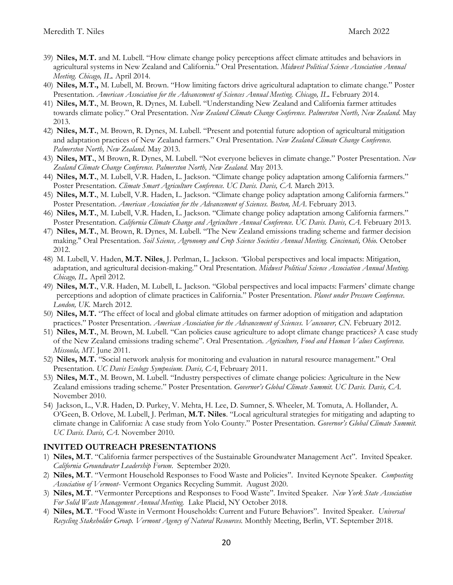- 39) **Niles, M.T.** and M. Lubell. "How climate change policy perceptions affect climate attitudes and behaviors in agricultural systems in New Zealand and California." Oral Presentation. *Midwest Political Science Association Annual Meeting. Chicago, IL.* April 2014.
- 40) **Niles, M.T.,** M. Lubell, M. Brown. "How limiting factors drive agricultural adaptation to climate change." Poster Presentation. *American Association for the Advancement of Sciences Annual Meeting. Chicago, IL.* February 2014.
- 41) **Niles, M.T.**, M. Brown, R. Dynes, M. Lubell. "Understanding New Zealand and California farmer attitudes towards climate policy." Oral Presentation. *New Zealand Climate Change Conference. Palmerston North, New Zealand*. May 2013.
- 42) **Niles, M.T.**, M. Brown, R. Dynes, M. Lubell. "Present and potential future adoption of agricultural mitigation and adaptation practices of New Zealand farmers." Oral Presentation. *New Zealand Climate Change Conference. Palmerston North, New Zealand*. May 2013.
- 43) **Niles, MT.**, M Brown, R. Dynes, M. Lubell. "Not everyone believes in climate change." Poster Presentation. *New Zealand Climate Change Conference. Palmerston North, New Zealand.* May 2013.
- 44) **Niles, M.T.**, M. Lubell, V.R. Haden, L. Jackson. "Climate change policy adaptation among California farmers." Poster Presentation. *Climate Smart Agriculture Conference. UC Davis. Davis, CA.* March 2013.
- 45) **Niles, M.T.**, M. Lubell, V.R. Haden, L. Jackson. "Climate change policy adaptation among California farmers." Poster Presentation. *American Association for the Advancement of Sciences. Boston, MA*. February 2013.
- 46) **Niles, M.T.**, M. Lubell, V.R. Haden, L. Jackson. "Climate change policy adaptation among California farmers." Poster Presentation. *California Climate Change and Agriculture Annual Conference. UC Davis. Davis, CA.* February 2013.
- 47) **Niles, M.T.**, M. Brown, R. Dynes, M. Lubell. "The New Zealand emissions trading scheme and farmer decision making." Oral Presentation. *Soil Science, Agronomy and Crop Science Societies Annual Meeting. Cincinnati, Ohio.* October 2012.
- 48) M. Lubell, V. Haden, **M.T. Niles**, J. Perlman, L. Jackson. *"*Global perspectives and local impacts: Mitigation, adaptation, and agricultural decision-making." Oral Presentation. *Midwest Political Science Association Annual Meeting. Chicago, IL.* April 2012.
- 49) **Niles, M.T.**, V.R. Haden, M. Lubell, L. Jackson. "Global perspectives and local impacts: Farmers' climate change perceptions and adoption of climate practices in California." Poster Presentation. *Planet under Pressure Conference. London, UK.* March 2012.
- 50) **Niles, M.T.** "The effect of local and global climate attitudes on farmer adoption of mitigation and adaptation practices." Poster Presentation. *American Association for the Advancement of Sciences. Vancouver, CN.* February 2012.
- 51) **Niles, M.T.**, M. Brown, M. Lubell. "Can policies cause agriculture to adopt climate change practices? A case study of the New Zealand emissions trading scheme". Oral Presentation. *Agriculture, Food and Human Values Conference. Missoula, MT.* June 2011.
- 52) **Niles, M.T.** "Social network analysis for monitoring and evaluation in natural resource management." Oral Presentation. *UC Davis Ecology Symposium. Davis, CA*, February 2011.
- 53) **Niles, M.T.**, M. Brown, M. Lubell. "Industry perspectives of climate change policies: Agriculture in the New Zealand emissions trading scheme." Poster Presentation. *Governor's Global Climate Summit. UC Davis. Davis, CA.* November 2010.
- 54) Jackson, L., V.R. Haden, D. Purkey, V. Mehta, H. Lee, D. Sumner, S. Wheeler, M. Tomuta, A. Hollander, A. O'Geen, B. Orlove, M. Lubell, J. Perlman, **M.T. Niles**. "Local agricultural strategies for mitigating and adapting to climate change in California: A case study from Yolo County." Poster Presentation. *Governor's Global Climate Summit. UC Davis. Davis, CA.* November 2010.

## **INVITED OUTREACH PRESENTATIONS**

- 1) **Niles, M.T**. "California farmer perspectives of the Sustainable Groundwater Management Act". Invited Speaker. *California Groundwater Leadership Forum*. September 2020.
- 2) **Niles, M.T**. "Vermont Household Responses to Food Waste and Policies". Invited Keynote Speaker. *Composting Association of Vermont*- Vermont Organics Recycling Summit. August 2020.
- 3) **Niles, M.T**. "Vermonter Perceptions and Responses to Food Waste". Invited Speaker. *New York State Association For Solid Waste Management Annual Meeting.* Lake Placid, NY October 2018.
- 4) **Niles, M.T**. "Food Waste in Vermont Households: Current and Future Behaviors". Invited Speaker. *Universal Recycling Stakeholder Group. Vermont Agency of Natural Resources.* Monthly Meeting, Berlin, VT. September 2018.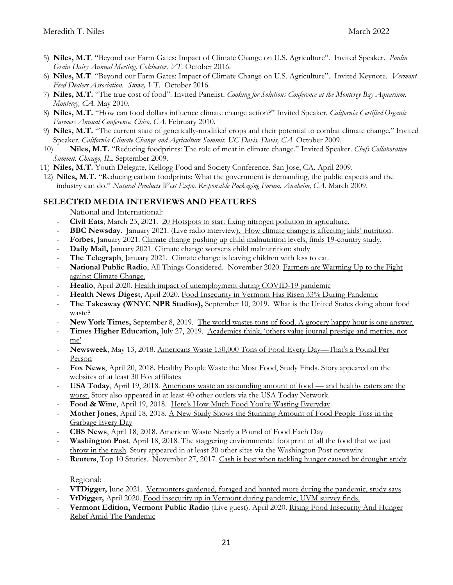- 5) **Niles, M.T**. "Beyond our Farm Gates: Impact of Climate Change on U.S. Agriculture". Invited Speaker. *Poulin Grain Dairy Annual Meeting. Colchester, VT.* October 2016.
- 6) **Niles, M.T**. "Beyond our Farm Gates: Impact of Climate Change on U.S. Agriculture". Invited Keynote. *Vermont Feed Dealers Association. Stowe, VT*. October 2016.
- 7) **Niles, M.T.** "The true cost of food". Invited Panelist. *Cooking for Solutions Conference at the Monterey Bay Aquarium. Monterey, CA.* May 2010.
- 8) **Niles, M.T.** "How can food dollars influence climate change action?" Invited Speaker. *California Certified Organic Farmers Annual Conference. Chico, CA.* February 2010.
- 9) **Niles, M.T.** "The current state of genetically-modified crops and their potential to combat climate change." Invited Speaker. *California Climate Change and Agriculture Summit. UC Davis. Davis, CA.* October 2009.
- 10) **Niles, M.T.** "Reducing foodprints: The role of meat in climate change." Invited Speaker. *Chefs Collaborative Summit. Chicago, IL.* September 2009.
- 11) **Niles, M.T.** Youth Delegate, Kellogg Food and Society Conference. San Jose, CA. April 2009.
- 12) **Niles, M.T.** "Reducing carbon foodprints: What the government is demanding, the public expects and the industry can do." *Natural Products West Expo, Responsible Packaging Forum. Anaheim, CA.* March 2009.

## **SELECTED MEDIA INTERVIEWS AND FEATURES**

National and International:

- **Civil Eats**, March 23, 2021. 20 Hotspots to start fixing nitrogen pollution in agriculture.
- **BBC Newsday**. January 2021. (Live radio interview). How climate change is affecting kids' nutrition.
- **Forbes**, January 2021. Climate change pushing up child malnutrition levels, finds 19-country study.
- Daily Mail, January 2021. Climate change worsens child malnutrition: study
- The Telegraph, January 2021. Climate change is leaving children with less to eat.
- **National Public Radio**, All Things Considered. November 2020. Farmers are Warming Up to the Fight [against Climate Change.](https://www.npr.org/2020/11/20/936603967/farmers-are-warming-up-to-the-fight-against-climate-change)
- **[Healio](https://www.healio.com/news/primary-care/20200427/health-impact-of-unemployment-during-covid19-pandemic)**, April 2020. Health impact of unemployment during COVID-19 pandemic
- **[Health News Digest](http://www.healthnewsdigest.com/news/Virus0/Food-Insecurity-in-Vermont-Has-Risen-33-During-Pandemic.shtml)**, April 2020. Food Insecurity in Vermont Has Risen 33% During Pandemic
- **The Takeaway (WNYC NPR Studios),** September 10, 2019. [What is the United States doing about food](https://www.wnycstudios.org/podcasts/takeaway/segments/united-states-food-waste)  [waste?](https://www.wnycstudios.org/podcasts/takeaway/segments/united-states-food-waste)
- **New York Times,** September 8, 2019. [The world wastes tons of food. A grocery happy hour is one answer.](https://www.nytimes.com/2019/09/08/business/food-waste-climate-change.html?module=inline)
- **Times Higher Education,** July 27, 2019. [Academics think, 'others value journal prestige and metrics, not](https://www.timeshighereducation.com/news/academics-think-others-value-journal-prestige-and-metrics-not-me)  [me'](https://www.timeshighereducation.com/news/academics-think-others-value-journal-prestige-and-metrics-not-me)
- **Newsweek**, May 13, 2018. [Americans Waste 150,000 Tons of Food Every Day](http://www.newsweek.com/americans-waste-150000-tons-food-every-day-thats-pound-person-892411)—That's a Pound Per [Person](http://www.newsweek.com/americans-waste-150000-tons-food-every-day-thats-pound-person-892411)
- **Fox News**, April 20, 2018. Healthy People Waste the Most Food, Study Finds. Story appeared on the websites of at least 30 Fox affiliates
- **USA Today**, April 19, 2018. [Americans waste an astounding amount of food](https://www.usatoday.com/story/news/health/2018/04/19/americans-waste-huge-quantity-food-healthy-eaters-worst-culprits/531495002/)  and healthy eaters are the [worst.](https://www.usatoday.com/story/news/health/2018/04/19/americans-waste-huge-quantity-food-healthy-eaters-worst-culprits/531495002/) Story also appeared in at least 40 other outlets via the USA Today Network.
- Food & Wine, April 19, 2018. [Here's How Much Food You're Wasting Everyday](https://www.foodandwine.com/news/how-much-food-youre-wasting-everyday)
- **Mother Jones**, April 18, 2018. [A New Study Shows the Stunning Amount of Food People Toss in the](https://www.motherjones.com/food/2018/04/a-new-study-shows-the-stunning-amount-of-food-people-toss-in-the-garbage-every-day/)  [Garbage Every Day](https://www.motherjones.com/food/2018/04/a-new-study-shows-the-stunning-amount-of-food-people-toss-in-the-garbage-every-day/)
- **CBS News**, April 18, 2018. [American Waste Nearly a Pound of Food Each Day](https://www.cbsnews.com/news/americans-waste-nearly-a-pound-of-food-each-per-day-study-finds/)
- Washington Post, April 18, 2018. The staggering environmental footprint of all the food that we just [throw in the trash.](https://www.washingtonpost.com/news/energy-environment/wp/2018/04/18/americans-waste-about-a-quarter-of-the-food-they-buy-and-the-environmental-consequences-are-staggering/?utm_term=.f7302ff25986) Story appeared in at least 20 other sites via the Washington Post newswire
- Reuters, Top 10 Stories. November 27, 2017. [Cash is best when tackling hunger caused by drought: study](https://www.reuters.com/article/us-farming-food-livelihoods/cash-is-best-when-tackling-hunger-caused-by-drought-study-idUSKBN1DR1GB)

Regional:

- **VTDigger,** June 2021. Vermonters gardened, foraged and hunted more during the pandemic, study says.
- **[VtDigger,](https://vtdigger.org/2020/04/20/food-insecurity-up-in-vermont-during-pandemic-uvm-survey-finds/)** April 2020. Food insecurity up in Vermont during pandemic, UVM survey finds.
- **[Vermont Edition, Vermont Public Ra](https://www.vpr.org/post/rising-food-insecurity-and-hunger-relief-amid-pandemic#stream/0)dio** (Live guest). April 2020. Rising Food Insecurity And Hunger Relief Amid The Pandemic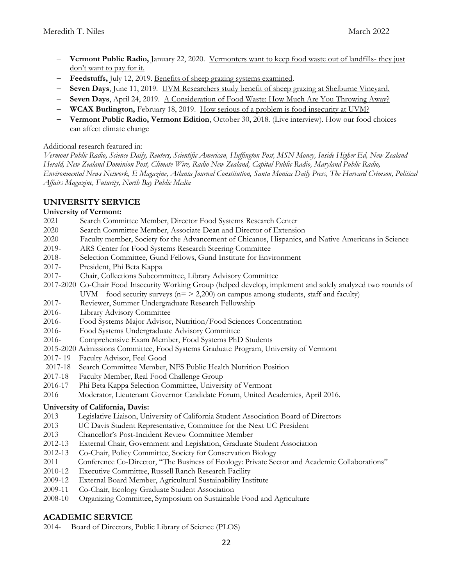- **Vermont Public Radio,** January 22, 2020. [Vermonters want to keep food waste out of landfills-](https://www.vpr.org/post/vermonters-want-keep-food-waste-out-landfills-they-just-dont-want-pay-it#stream/0) they just [don't want to pay for it.](https://www.vpr.org/post/vermonters-want-keep-food-waste-out-landfills-they-just-dont-want-pay-it#stream/0)
- **Feedstuffs,** July 12, 2019. [Benefits of sheep grazing systems examined.](https://www.feedstuffs.com/news/benefits-sheep-grazing-systems-examined)
- **Seven Days**, June 11, 2019. [UVM Researchers study benefit of sheep grazing at Shelburne Vineyard.](https://www.sevendaysvt.com/vermont/uvm-researchers-study-benefit-of-sheep-grazing-shelburne-vineyard/Content?oid=27712145)
- **Seven Days**, April 24, 2019. [A Consideration of Food Waste: How Much Are You Throwing Away?](https://www.sevendaysvt.com/vermont/a-consideration-of-food-waste-how-much-are-you-throwing-away/Content?oid=27311290)
- **WCAX Burlington,** February 18, 2019. How [serious of a problem is food insecurity at UVM?](https://www.wcax.com/content/news/How-serious-of-a-problem-is-food-insecurity-at-UVM-506008421.html)
- **Vermont Public Radio, Vermont Edition**, October 30, 2018. (Live interview). [How our food choices](http://digital.vpr.net/post/how-our-food-choices-can-affect-climate-change)  [can affect climate change](http://digital.vpr.net/post/how-our-food-choices-can-affect-climate-change)

### Additional research featured in:

*Vermont Public Radio, Science Daily, Reuters, Scientific American, Huffington Post, MSN Money, Inside Higher Ed, New Zealand Herald, New Zealand Dominion Post, Climate Wire, Radio New Zealand, Capital Public Radio, Maryland Public Radio, Environmental News Network, E Magazine, Atlanta Journal Constitution, Santa Monica Daily Press, The Harvard Crimson, Political Affairs Magazine, Futurity, North Bay Public Media*

## **UNIVERSITY SERVICE**

### **University of Vermont:**

- 2021 Search Committee Member, Director Food Systems Research Center
- 2020 Search Committee Member, Associate Dean and Director of Extension
- 2020 Faculty member, Society for the Advancement of Chicanos, Hispanics, and Native Americans in Science
- 2019- ARS Center for Food Systems Research Steering Committee
- 2018- Selection Committee, Gund Fellows, Gund Institute for Environment
- 2017- President, Phi Beta Kappa
- 2017- Chair, Collections Subcommittee, Library Advisory Committee
- 2017-2020 Co-Chair Food Insecurity Working Group (helped develop, implement and solely analyzed two rounds of UVM food security surveys ( $n = 2,200$ ) on campus among students, staff and faculty)
- 2017- Reviewer, Summer Undergraduate Research Fellowship
- 2016- Library Advisory Committee
- 2016- Food Systems Major Advisor, Nutrition/Food Sciences Concentration
- 2016- Food Systems Undergraduate Advisory Committee
- 2016- Comprehensive Exam Member, Food Systems PhD Students
- 2015-2020 Admissions Committee, Food Systems Graduate Program, University of Vermont
- 2017- 19 Faculty Advisor, Feel Good
- 2017-18 Search Committee Member, NFS Public Health Nutrition Position
- 2017-18 Faculty Member, Real Food Challenge Group
- 2016-17 Phi Beta Kappa Selection Committee, University of Vermont
- 2016 Moderator, Lieutenant Governor Candidate Forum, United Academics, April 2016.

## **University of California, Davis:**

- 2013 Legislative Liaison, University of California Student Association Board of Directors
- 2013 UC Davis Student Representative, Committee for the Next UC President
- 2013 Chancellor's Post-Incident Review Committee Member
- 2012-13 External Chair, Government and Legislation, Graduate Student Association
- 2012-13 Co-Chair, Policy Committee, Society for Conservation Biology
- 2011 Conference Co-Director, "The Business of Ecology: Private Sector and Academic Collaborations"
- 2010-12 Executive Committee, Russell Ranch Research Facility
- 2009-12 External Board Member, Agricultural Sustainability Institute
- 2009-11 Co-Chair, Ecology Graduate Student Association
- Organizing Committee, Symposium on Sustainable Food and Agriculture

## **ACADEMIC SERVICE**

2014- Board of Directors, Public Library of Science (PLOS)